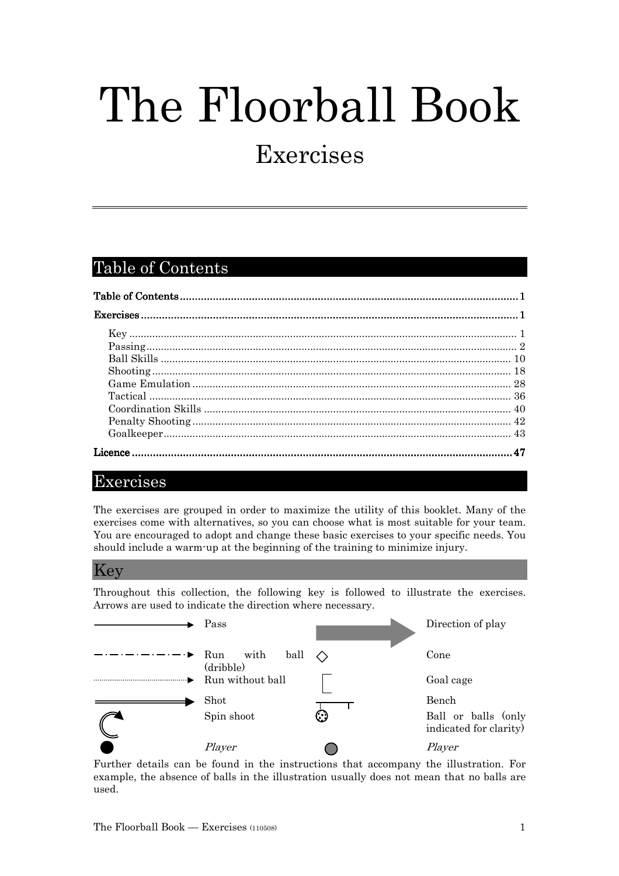# The Floorball Book

## Exercises

## Table of Contents

## Exercises

The exercises are grouped in order to maximize the utility of this booklet. Many of the exercises come with alternatives, so you can choose what is most suitable for your team. You are encouraged to adopt and change these basic exercises to your specific needs. You should include a warm-up at the beginning of the training to minimize injury.

## Key

Throughout this collection, the following key is followed to illustrate the exercises. Arrows are used to indicate the direction where necessary.



Further details can be found in the instructions that accompany the illustration. For example, the absence of balls in the illustration usually does not mean that no balls are used.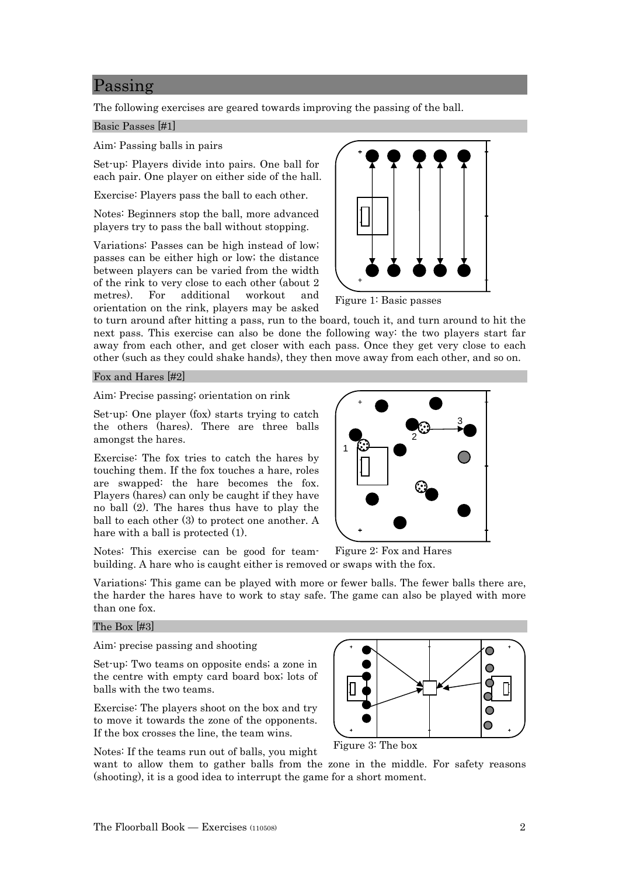## Passing

The following exercises are geared towards improving the passing of the ball.

#### Basic Passes [#1]

Aim: Passing balls in pairs

Set-up: Players divide into pairs. One ball for each pair. One player on either side of the hall.

Exercise: Players pass the ball to each other.

Notes: Beginners stop the ball, more advanced players try to pass the ball without stopping.

Variations: Passes can be high instead of low; passes can be either high or low; the distance between players can be varied from the width of the rink to very close to each other (about 2 metres). For additional workout and orientation on the rink, players may be asked

Figure 1: Basic passes

to turn around after hitting a pass, run to the board, touch it, and turn around to hit the next pass. This exercise can also be done the following way: the two players start far away from each other, and get closer with each pass. Once they get very close to each other (such as they could shake hands), they then move away from each other, and so on.

#### Fox and Hares [#2]

Aim: Precise passing; orientation on rink

Set-up: One player (fox) starts trying to catch the others (hares). There are three balls amongst the hares.

Exercise: The fox tries to catch the hares by touching them. If the fox touches a hare, roles are swapped: the hare becomes the fox. Players (hares) can only be caught if they have no ball (2). The hares thus have to play the ball to each other (3) to protect one another. A hare with a ball is protected (1).

Notes: This exercise can be good for teambuilding. A hare who is caught either is removed or swaps with the fox.

Variations: This game can be played with more or fewer balls. The fewer balls there are, the harder the hares have to work to stay safe. The game can also be played with more than one fox.

#### The Box [#3]

Aim: precise passing and shooting

Set-up: Two teams on opposite ends; a zone in the centre with empty card board box; lots of balls with the two teams.

Exercise: The players shoot on the box and try to move it towards the zone of the opponents. If the box crosses the line, the team wins.





Figure 3: The box

want to allow them to gather balls from the zone in the middle. For safety reasons (shooting), it is a good idea to interrupt the game for a short moment.



Figure 2: Fox and Hares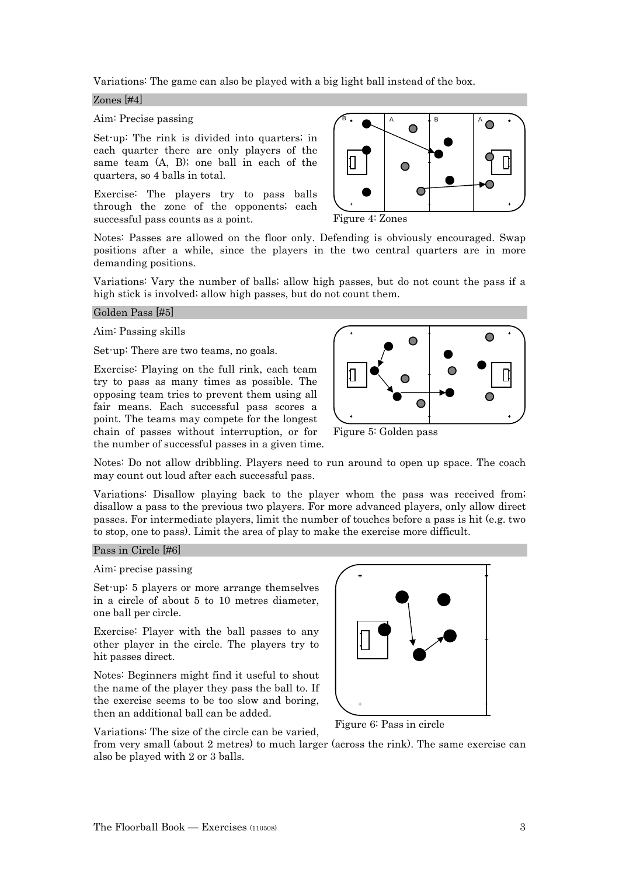Variations: The game can also be played with a big light ball instead of the box.

#### Zones [#4]

Aim: Precise passing

Set-up: The rink is divided into quarters; in each quarter there are only players of the same team (A, B); one ball in each of the quarters, so 4 balls in total.

Exercise: The players try to pass balls through the zone of the opponents; each successful pass counts as a point.

Notes: Passes are allowed on the floor only. Defending is obviously encouraged. Swap positions after a while, since the players in the two central quarters are in more demanding positions.

Variations: Vary the number of balls; allow high passes, but do not count the pass if a high stick is involved; allow high passes, but do not count them.

#### Golden Pass [#5]

#### Aim: Passing skills

Set-up: There are two teams, no goals.

Exercise: Playing on the full rink, each team try to pass as many times as possible. The opposing team tries to prevent them using all fair means. Each successful pass scores a point. The teams may compete for the longest chain of passes without interruption, or for the number of successful passes in a given time.



 $B +$   $A$   $B$   $A$  $\bullet$ 

 $\bigcirc$ 

 $\subset$ 

Figure 5: Golden pass

Figure 4: Zones

Notes: Do not allow dribbling. Players need to run around to open up space. The coach may count out loud after each successful pass.

Variations: Disallow playing back to the player whom the pass was received from; disallow a pass to the previous two players. For more advanced players, only allow direct passes. For intermediate players, limit the number of touches before a pass is hit (e.g. two to stop, one to pass). Limit the area of play to make the exercise more difficult.

#### Pass in Circle [#6]

Aim: precise passing

Set-up: 5 players or more arrange themselves in a circle of about 5 to 10 metres diameter, one ball per circle.

Exercise: Player with the ball passes to any other player in the circle. The players try to hit passes direct.

Notes: Beginners might find it useful to shout the name of the player they pass the ball to. If the exercise seems to be too slow and boring, then an additional ball can be added.

Variations: The size of the circle can be varied,



Figure 6: Pass in circle

from very small (about 2 metres) to much larger (across the rink). The same exercise can also be played with 2 or 3 balls.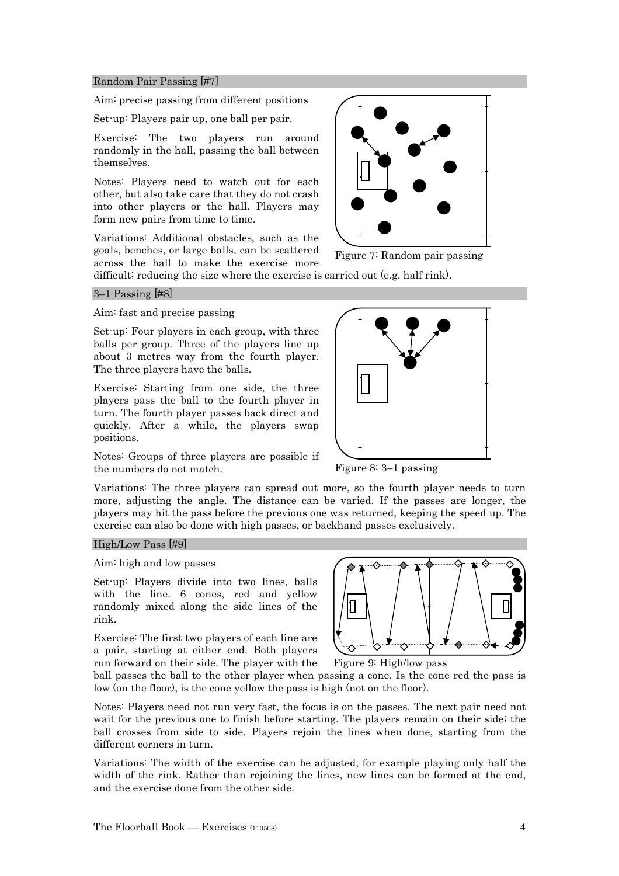#### Random Pair Passing [#7]

Aim: precise passing from different positions

Set-up: Players pair up, one ball per pair.

Exercise: The two players run around randomly in the hall, passing the ball between themselves.

Notes: Players need to watch out for each other, but also take care that they do not crash into other players or the hall. Players may form new pairs from time to time.

Variations: Additional obstacles, such as the goals, benches, or large balls, can be scattered across the hall to make the exercise more



Figure 7: Random pair passing

difficult; reducing the size where the exercise is carried out (e.g. half rink).

#### 3–1 Passing [#8]

Aim: fast and precise passing

Set-up: Four players in each group, with three balls per group. Three of the players line up about 3 metres way from the fourth player. The three players have the balls.

Exercise: Starting from one side, the three players pass the ball to the fourth player in turn. The fourth player passes back direct and quickly. After a while, the players swap positions.

Notes: Groups of three players are possible if the numbers do not match.



Figure 8: 3–1 passing

Variations: The three players can spread out more, so the fourth player needs to turn more, adjusting the angle. The distance can be varied. If the passes are longer, the players may hit the pass before the previous one was returned, keeping the speed up. The exercise can also be done with high passes, or backhand passes exclusively.

#### High/Low Pass [#9]

Aim: high and low passes

Set-up: Players divide into two lines, balls with the line. 6 cones, red and yellow randomly mixed along the side lines of the rink.

Exercise: The first two players of each line are a pair, starting at either end. Both players run forward on their side. The player with the



Figure 9: High/low pass

ball passes the ball to the other player when passing a cone. Is the cone red the pass is low (on the floor), is the cone yellow the pass is high (not on the floor).

Notes: Players need not run very fast, the focus is on the passes. The next pair need not wait for the previous one to finish before starting. The players remain on their side; the ball crosses from side to side. Players rejoin the lines when done, starting from the different corners in turn.

Variations: The width of the exercise can be adjusted, for example playing only half the width of the rink. Rather than rejoining the lines, new lines can be formed at the end, and the exercise done from the other side.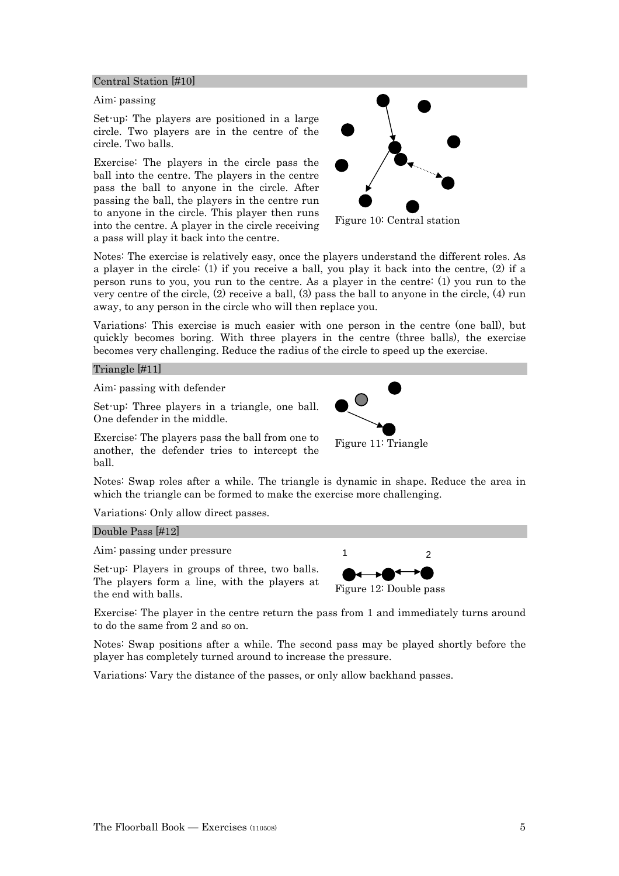#### Central Station [#10]

#### Aim: passing

Set-up: The players are positioned in a large circle. Two players are in the centre of the circle. Two balls.

Exercise: The players in the circle pass the ball into the centre. The players in the centre pass the ball to anyone in the circle. After passing the ball, the players in the centre run to anyone in the circle. This player then runs into the centre. A player in the circle receiving a pass will play it back into the centre.



Figure 10: Central station

Notes: The exercise is relatively easy, once the players understand the different roles. As a player in the circle: (1) if you receive a ball, you play it back into the centre, (2) if a person runs to you, you run to the centre. As a player in the centre: (1) you run to the very centre of the circle, (2) receive a ball, (3) pass the ball to anyone in the circle, (4) run away, to any person in the circle who will then replace you.

Variations: This exercise is much easier with one person in the centre (one ball), but quickly becomes boring. With three players in the centre (three balls), the exercise becomes very challenging. Reduce the radius of the circle to speed up the exercise.

#### Triangle [#11]

Aim: passing with defender

Set-up: Three players in a triangle, one ball. One defender in the middle.

Exercise: The players pass the ball from one to another, the defender tries to intercept the ball.



Notes: Swap roles after a while. The triangle is dynamic in shape. Reduce the area in which the triangle can be formed to make the exercise more challenging.

Variations: Only allow direct passes.

#### Double Pass [#12]

Aim: passing under pressure

Set-up: Players in groups of three, two balls. The players form a line, with the players at the end with balls.



Exercise: The player in the centre return the pass from 1 and immediately turns around to do the same from 2 and so on.

Notes: Swap positions after a while. The second pass may be played shortly before the player has completely turned around to increase the pressure.

Variations: Vary the distance of the passes, or only allow backhand passes.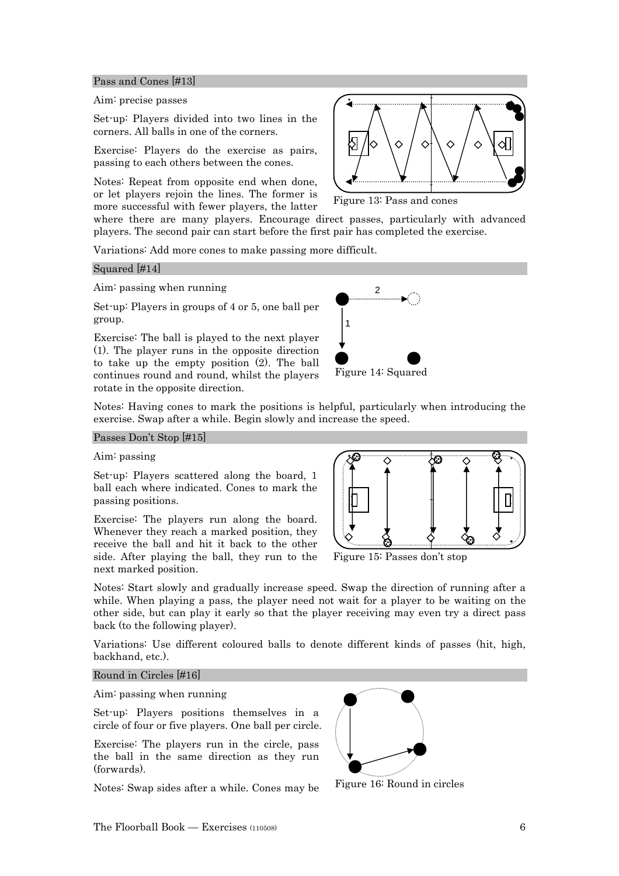#### Pass and Cones [#13]

#### Aim: precise passes

Set-up: Players divided into two lines in the corners. All balls in one of the corners.

Exercise: Players do the exercise as pairs, passing to each others between the cones.

Notes: Repeat from opposite end when done, or let players rejoin the lines. The former is more successful with fewer players, the latter

where there are many players. Encourage direct passes, particularly with advanced players. The second pair can start before the first pair has completed the exercise.

Variations: Add more cones to make passing more difficult.

#### Squared [#14]

#### Aim: passing when running

Set-up: Players in groups of 4 or 5, one ball per group.

Exercise: The ball is played to the next player (1). The player runs in the opposite direction to take up the empty position (2). The ball continues round and round, whilst the players rotate in the opposite direction.



Figure 14: Squared

Notes: Having cones to mark the positions is helpful, particularly when introducing the exercise. Swap after a while. Begin slowly and increase the speed.

#### Passes Don't Stop [#15]

#### Aim: passing

Set-up: Players scattered along the board, 1 ball each where indicated. Cones to mark the passing positions.

Exercise: The players run along the board. Whenever they reach a marked position, they receive the ball and hit it back to the other side. After playing the ball, they run to the next marked position.



Figure 15: Passes don't stop

Notes: Start slowly and gradually increase speed. Swap the direction of running after a while. When playing a pass, the player need not wait for a player to be waiting on the other side, but can play it early so that the player receiving may even try a direct pass back (to the following player).

Variations: Use different coloured balls to denote different kinds of passes (hit, high, backhand, etc.).

#### Round in Circles [#16]

#### Aim: passing when running

Set-up: Players positions themselves in a circle of four or five players. One ball per circle.

Exercise: The players run in the circle, pass the ball in the same direction as they run (forwards).

Notes: Swap sides after a while. Cones may be



Figure 16: Round in circles



Figure 13: Pass and cones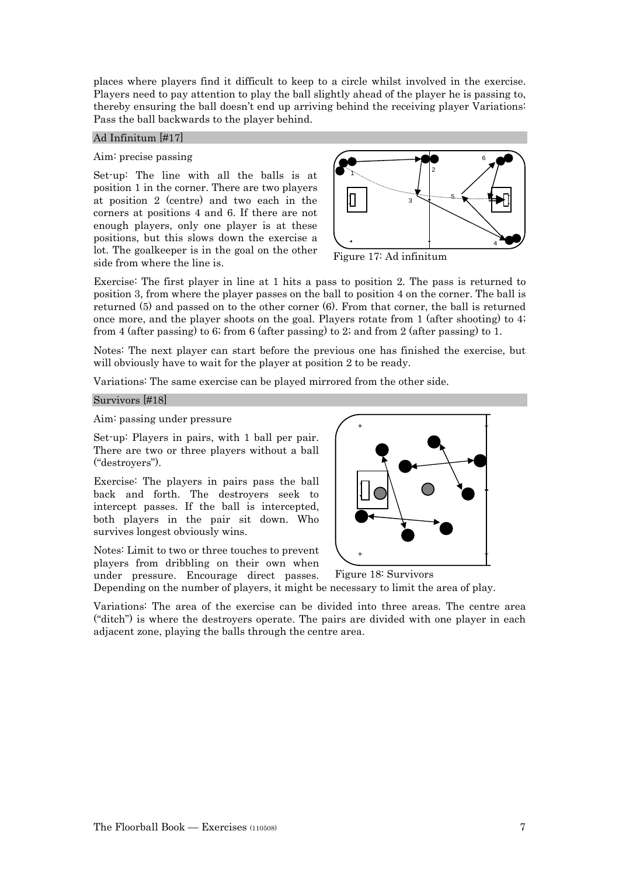places where players find it difficult to keep to a circle whilst involved in the exercise. Players need to pay attention to play the ball slightly ahead of the player he is passing to, thereby ensuring the ball doesn't end up arriving behind the receiving player Variations: Pass the ball backwards to the player behind.

#### Ad Infinitum [#17]

#### Aim: precise passing

Set-up: The line with all the balls is at position 1 in the corner. There are two players at position 2 (centre) and two each in the corners at positions 4 and 6. If there are not enough players, only one player is at these positions, but this slows down the exercise a lot. The goalkeeper is in the goal on the other side from where the line is.



Figure 17: Ad infinitum

Exercise: The first player in line at 1 hits a pass to position 2. The pass is returned to position 3, from where the player passes on the ball to position 4 on the corner. The ball is returned (5) and passed on to the other corner (6). From that corner, the ball is returned once more, and the player shoots on the goal. Players rotate from 1 (after shooting) to 4; from 4 (after passing) to 6; from 6 (after passing) to 2; and from 2 (after passing) to 1.

Notes: The next player can start before the previous one has finished the exercise, but will obviously have to wait for the player at position 2 to be ready.

Variations: The same exercise can be played mirrored from the other side.

#### Survivors [#18]

Aim: passing under pressure

Set-up: Players in pairs, with 1 ball per pair. There are two or three players without a ball ("destroyers").

Exercise: The players in pairs pass the ball back and forth. The destroyers seek to intercept passes. If the ball is intercepted, both players in the pair sit down. Who survives longest obviously wins.

Notes: Limit to two or three touches to prevent players from dribbling on their own when under pressure. Encourage direct passes.



Depending on the number of players, it might be necessary to limit the area of play. Figure 18: Survivors

Variations: The area of the exercise can be divided into three areas. The centre area ("ditch") is where the destroyers operate. The pairs are divided with one player in each adjacent zone, playing the balls through the centre area.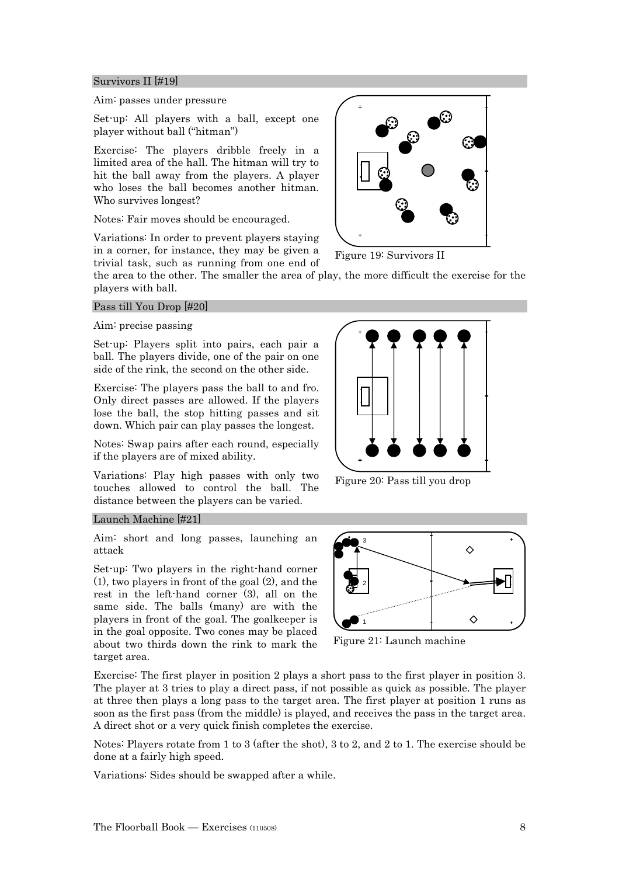#### Survivors II [#19]

#### Aim: passes under pressure

Set-up: All players with a ball, except one player without ball ("hitman")

Exercise: The players dribble freely in a limited area of the hall. The hitman will try to hit the ball away from the players. A player who loses the ball becomes another hitman. Who survives longest?

Notes: Fair moves should be encouraged.

Variations: In order to prevent players staying in a corner, for instance, they may be given a trivial task, such as running from one end of



Figure 19: Survivors II

the area to the other. The smaller the area of play, the more difficult the exercise for the players with ball.

#### Pass till You Drop [#20]

#### Aim: precise passing

Set-up: Players split into pairs, each pair a ball. The players divide, one of the pair on one side of the rink, the second on the other side.

Exercise: The players pass the ball to and fro. Only direct passes are allowed. If the players lose the ball, the stop hitting passes and sit down. Which pair can play passes the longest.

Notes: Swap pairs after each round, especially if the players are of mixed ability.

Variations: Play high passes with only two touches allowed to control the ball. The distance between the players can be varied.

#### Launch Machine [#21]

Aim: short and long passes, launching an attack

Set-up: Two players in the right-hand corner (1), two players in front of the goal (2), and the rest in the left-hand corner (3), all on the same side. The balls (many) are with the players in front of the goal. The goalkeeper is in the goal opposite. Two cones may be placed about two thirds down the rink to mark the target area.



Figure 20: Pass till you drop



Figure 21: Launch machine

Exercise: The first player in position 2 plays a short pass to the first player in position 3. The player at 3 tries to play a direct pass, if not possible as quick as possible. The player at three then plays a long pass to the target area. The first player at position 1 runs as soon as the first pass (from the middle) is played, and receives the pass in the target area. A direct shot or a very quick finish completes the exercise.

Notes: Players rotate from 1 to 3 (after the shot), 3 to 2, and 2 to 1. The exercise should be done at a fairly high speed.

Variations: Sides should be swapped after a while.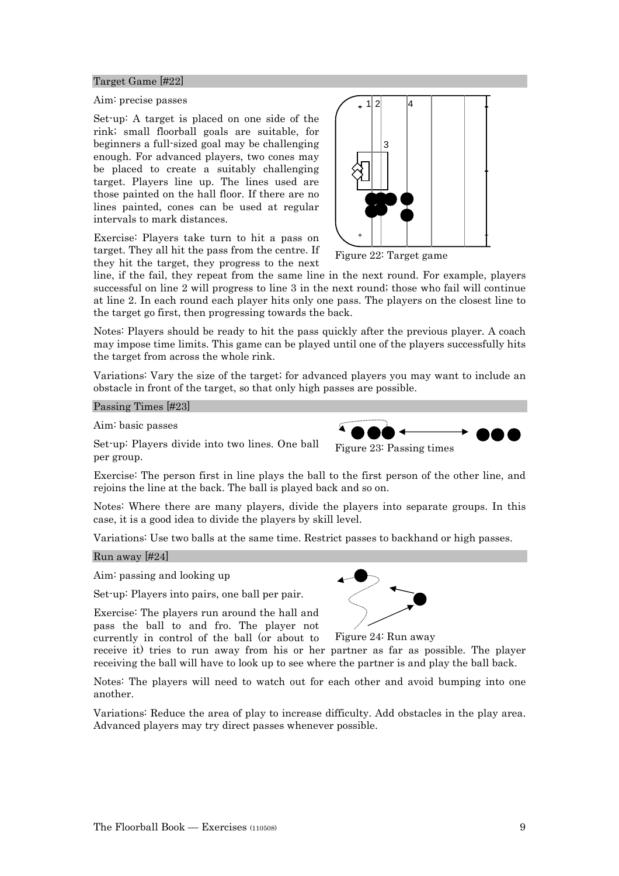#### Target Game [#22]

#### Aim: precise passes

Set-up: A target is placed on one side of the rink; small floorball goals are suitable, for beginners a full-sized goal may be challenging enough. For advanced players, two cones may be placed to create a suitably challenging target. Players line up. The lines used are those painted on the hall floor. If there are no lines painted, cones can be used at regular intervals to mark distances.

Exercise: Players take turn to hit a pass on target. They all hit the pass from the centre. If they hit the target, they progress to the next



Figure 22: Target game

line, if the fail, they repeat from the same line in the next round. For example, players successful on line 2 will progress to line 3 in the next round; those who fail will continue at line 2. In each round each player hits only one pass. The players on the closest line to the target go first, then progressing towards the back.

Notes: Players should be ready to hit the pass quickly after the previous player. A coach may impose time limits. This game can be played until one of the players successfully hits the target from across the whole rink.

Variations: Vary the size of the target; for advanced players you may want to include an obstacle in front of the target, so that only high passes are possible.

Passing Times [#23]

Aim: basic passes

Set-up: Players divide into two lines. One ball per group.

Exercise: The person first in line plays the ball to the first person of the other line, and rejoins the line at the back. The ball is played back and so on.

Notes: Where there are many players, divide the players into separate groups. In this case, it is a good idea to divide the players by skill level.

Variations: Use two balls at the same time. Restrict passes to backhand or high passes.

#### Run away [#24]

Aim: passing and looking up

Set-up: Players into pairs, one ball per pair.

Exercise: The players run around the hall and pass the ball to and fro. The player not currently in control of the ball (or about to



Figure 23: Passing times

Figure 24: Run away

receive it) tries to run away from his or her partner as far as possible. The player receiving the ball will have to look up to see where the partner is and play the ball back.

Notes: The players will need to watch out for each other and avoid bumping into one another.

Variations: Reduce the area of play to increase difficulty. Add obstacles in the play area. Advanced players may try direct passes whenever possible.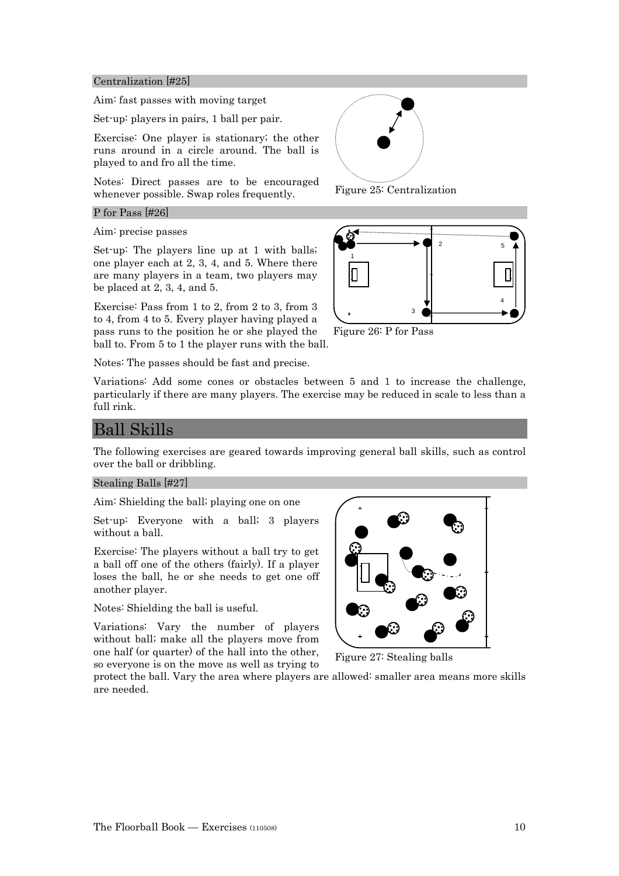#### Centralization [#25]

Aim: fast passes with moving target

Set-up: players in pairs, 1 ball per pair.

Exercise: One player is stationary; the other runs around in a circle around. The ball is played to and fro all the time.

Notes: Direct passes are to be encouraged whenever possible. Swap roles frequently.

#### P for Pass [#26]

Aim: precise passes

Set-up: The players line up at 1 with balls; one player each at 2, 3, 4, and 5. Where there are many players in a team, two players may be placed at 2, 3, 4, and 5.

Exercise: Pass from 1 to 2, from 2 to 3, from 3 to 4, from 4 to 5. Every player having played a pass runs to the position he or she played the ball to. From 5 to 1 the player runs with the ball.

Notes: The passes should be fast and precise.



Figure 25: Centralization



Figure 26: P for Pass

Variations: Add some cones or obstacles between 5 and 1 to increase the challenge, particularly if there are many players. The exercise may be reduced in scale to less than a full rink.

## Ball Skills

The following exercises are geared towards improving general ball skills, such as control over the ball or dribbling.

#### Stealing Balls [#27]

Aim: Shielding the ball; playing one on one

Set-up: Everyone with a ball; 3 players without a ball.

Exercise: The players without a ball try to get a ball off one of the others (fairly). If a player loses the ball, he or she needs to get one off another player.

Notes: Shielding the ball is useful.

Variations: Vary the number of players without ball; make all the players move from one half (or quarter) of the hall into the other, so everyone is on the move as well as trying to



Figure 27: Stealing balls

protect the ball. Vary the area where players are allowed: smaller area means more skills are needed.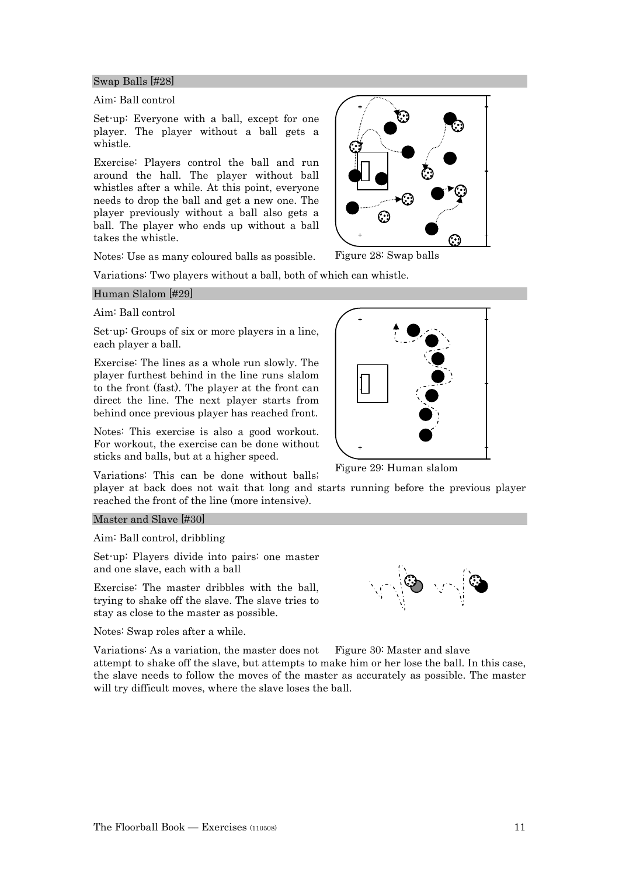#### Swap Balls [#28]

#### Aim: Ball control

Set-up: Everyone with a ball, except for one player. The player without a ball gets a whistle.

Exercise: Players control the ball and run around the hall. The player without ball whistles after a while. At this point, everyone needs to drop the ball and get a new one. The player previously without a ball also gets a ball. The player who ends up without a ball takes the whistle.

Notes: Use as many coloured balls as possible.

Variations: Two players without a ball, both of which can whistle.

#### Human Slalom [#29]

#### Aim: Ball control

Set-up: Groups of six or more players in a line, each player a ball.

Exercise: The lines as a whole run slowly. The player furthest behind in the line runs slalom to the front (fast). The player at the front can direct the line. The next player starts from behind once previous player has reached front.

Notes: This exercise is also a good workout. For workout, the exercise can be done without sticks and balls, but at a higher speed.

Variations: This can be done without balls;

player at back does not wait that long and starts running before the previous player reached the front of the line (more intensive).

Master and Slave [#30]

Aim: Ball control, dribbling

Set-up: Players divide into pairs: one master and one slave, each with a ball

Exercise: The master dribbles with the ball, trying to shake off the slave. The slave tries to stay as close to the master as possible.

Notes: Swap roles after a while.

Variations: As a variation, the master does not attempt to shake off the slave, but attempts to make him or her lose the ball. In this case, the slave needs to follow the moves of the master as accurately as possible. The master will try difficult moves, where the slave loses the ball. Figure 30: Master and slave



Figure 29: Human slalom



Figure 28: Swap balls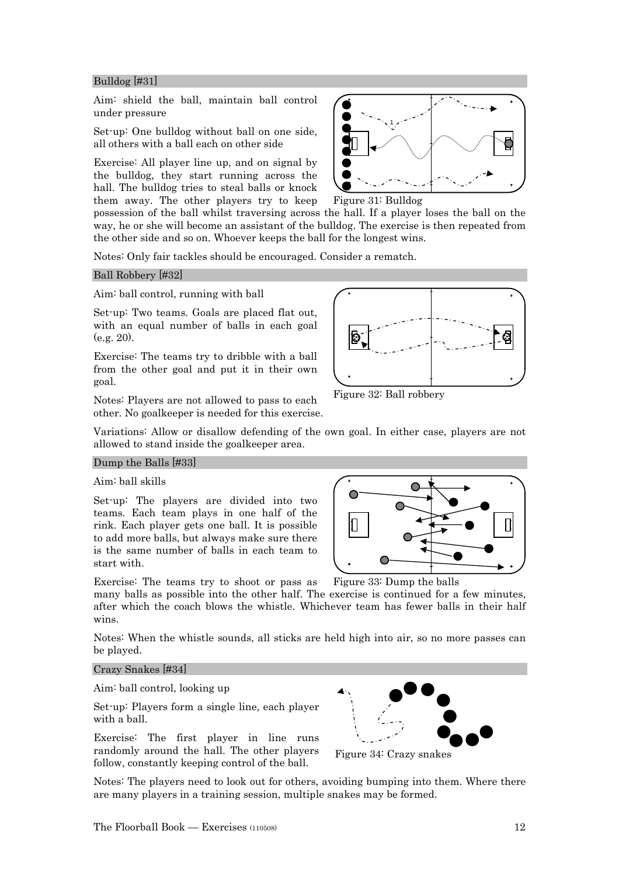#### Bulldog [#31]

Aim: shield the ball, maintain ball control under pressure

Set-up: One bulldog without ball on one side, all others with a ball each on other side

Exercise: All player line up, and on signal by the bulldog, they start running across the hall. The bulldog tries to steal balls or knock them away. The other players try to keep



Figure 31: Bulldog

possession of the ball whilst traversing across the hall. If a player loses the ball on the way, he or she will become an assistant of the bulldog. The exercise is then repeated from the other side and so on. Whoever keeps the ball for the longest wins.

Notes: Only fair tackles should be encouraged. Consider a rematch.

#### Ball Robbery [#32]

Aim: ball control, running with ball

Set-up: Two teams. Goals are placed flat out, with an equal number of balls in each goal (e.g. 20).

Exercise: The teams try to dribble with a ball from the other goal and put it in their own goal.

Notes: Players are not allowed to pass to each other. No goalkeeper is needed for this exercise.



Figure 32: Ball robbery

Variations: Allow or disallow defending of the own goal. In either case, players are not allowed to stand inside the goalkeeper area.

#### Dump the Balls [#33]

Aim: ball skills

Set-up: The players are divided into two teams. Each team plays in one half of the rink. Each player gets one ball. It is possible to add more balls, but always make sure there is the same number of balls in each team to start with.



Exercise: The teams try to shoot or pass as Figure 33: Dump the balls

many balls as possible into the other half. The exercise is continued for a few minutes, after which the coach blows the whistle. Whichever team has fewer balls in their half wins.

Notes: When the whistle sounds, all sticks are held high into air, so no more passes can be played.

#### Crazy Snakes [#34]

Aim: ball control, looking up

Set-up: Players form a single line, each player with a ball.

Exercise: The first player in line runs randomly around the hall. The other players follow, constantly keeping control of the ball.



Figure 34: Crazy snakes

Notes: The players need to look out for others, avoiding bumping into them. Where there are many players in a training session, multiple snakes may be formed.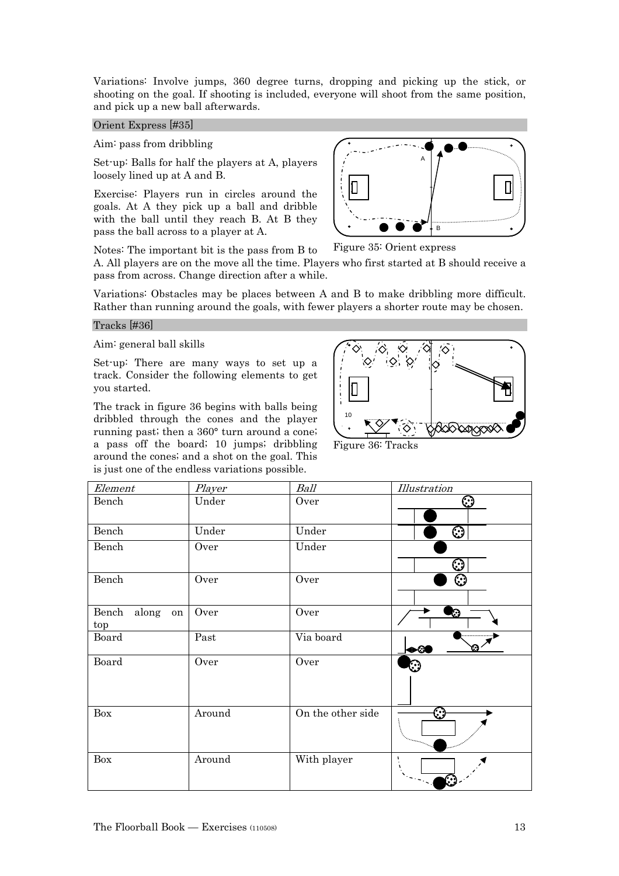Variations: Involve jumps, 360 degree turns, dropping and picking up the stick, or shooting on the goal. If shooting is included, everyone will shoot from the same position, and pick up a new ball afterwards.

#### Orient Express [#35]

Aim: pass from dribbling

Set-up: Balls for half the players at A, players loosely lined up at A and B.

Exercise: Players run in circles around the goals. At A they pick up a ball and dribble with the ball until they reach B. At B they pass the ball across to a player at A.



Notes: The important bit is the pass from B to Figure 35: Orient express

A. All players are on the move all the time. Players who first started at B should receive a pass from across. Change direction after a while.

Variations: Obstacles may be places between A and B to make dribbling more difficult. Rather than running around the goals, with fewer players a shorter route may be chosen.

#### Tracks [#36]

Aim: general ball skills

Set-up: There are many ways to set up a track. Consider the following elements to get you started.

The track in figure 36 begins with balls being dribbled through the cones and the player running past; then a 360° turn around a cone; a pass off the board; 10 jumps; dribbling around the cones; and a shot on the goal. This is just one of the endless variations possible.



Figure 36: Tracks

| Element                  | Player | Ball              | <i>Illustration</i>     |
|--------------------------|--------|-------------------|-------------------------|
| Bench                    | Under  | Over              | ☺                       |
| Bench                    | Under  | Under             | $\overline{\mathbb{O}}$ |
| Bench                    | Over   | Under             | $\odot$                 |
| Bench                    | Over   | Over              | ි                       |
| Bench along<br>on<br>top | Over   | Over              | O                       |
| Board                    | Past   | Via board         | ⋒<br>+∞                 |
| Board                    | Over   | Over              |                         |
| Box                      | Around | On the other side | ⊙                       |
| Box                      | Around | With player       | $\pmb{\mathsf{I}}$      |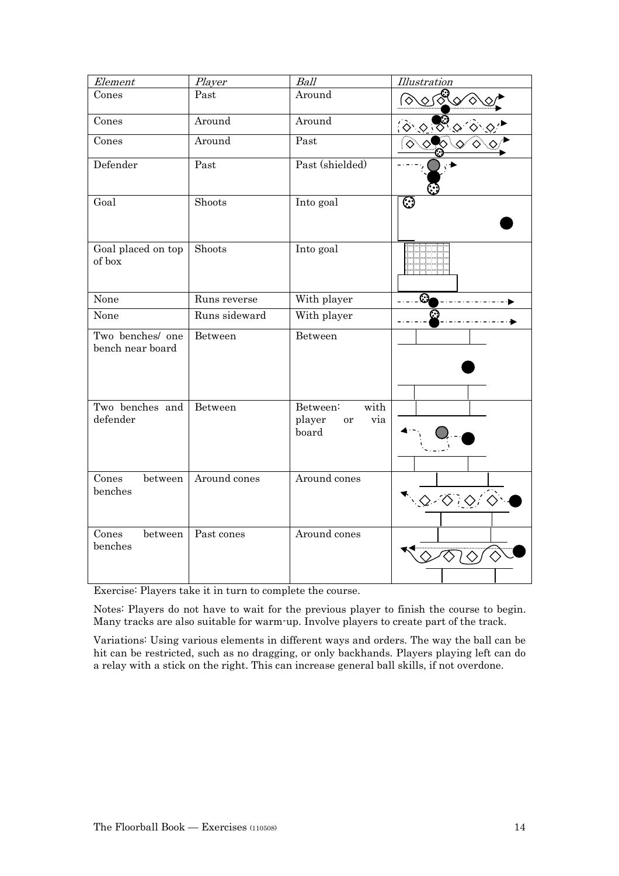| Element                              | Player        | Ball                                             | <b>Illustration</b>                             |
|--------------------------------------|---------------|--------------------------------------------------|-------------------------------------------------|
| Cones                                | Past          | Around                                           | <u>ভিত জু</u>                                   |
| Cones                                | Around        | Around                                           | $\hat{z}$                                       |
| Cones                                | Around        | Past                                             | $\langle \diamond \rangle$                      |
| Defender                             | Past          | Past (shielded)                                  |                                                 |
| Goal                                 | Shoots        | Into goal                                        | ⊙                                               |
| Goal placed on top<br>of box         | Shoots        | Into goal                                        |                                                 |
| None                                 | Runs reverse  | With player                                      | Ø                                               |
| None                                 | Runs sideward | With player                                      |                                                 |
| Two benches/ one<br>bench near board | Between       | Between                                          |                                                 |
| Two benches and<br>defender          | Between       | with<br>Between:<br>player<br>via<br>or<br>board |                                                 |
| Cones<br>between<br>benches          | Around cones  | Around cones                                     | $\cdot$ $\circ$ $\circ$ $\circ$ $\circ$ $\circ$ |
| Cones<br>between<br>benches          | Past cones    | Around cones                                     |                                                 |

Exercise: Players take it in turn to complete the course.

Notes: Players do not have to wait for the previous player to finish the course to begin. Many tracks are also suitable for warm-up. Involve players to create part of the track.

Variations: Using various elements in different ways and orders. The way the ball can be hit can be restricted, such as no dragging, or only backhands. Players playing left can do a relay with a stick on the right. This can increase general ball skills, if not overdone.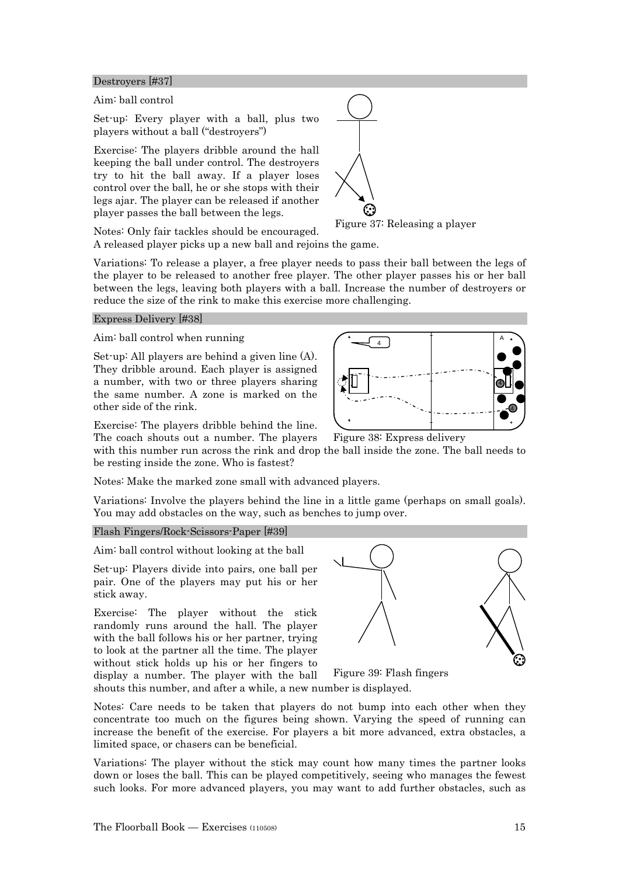Destroyers [#37]

Aim: ball control

Set-up: Every player with a ball, plus two players without a ball ("destroyers")

Exercise: The players dribble around the hall keeping the ball under control. The destroyers try to hit the ball away. If a player loses control over the ball, he or she stops with their legs ajar. The player can be released if another player passes the ball between the legs.

Notes: Only fair tackles should be encouraged. A released player picks up a new ball and rejoins the game. Figure 37: Releasing a player

Variations: To release a player, a free player needs to pass their ball between the legs of the player to be released to another free player. The other player passes his or her ball between the legs, leaving both players with a ball. Increase the number of destroyers or reduce the size of the rink to make this exercise more challenging.

#### Express Delivery [#38]

Aim: ball control when running

Set-up: All players are behind a given line (A). They dribble around. Each player is assigned a number, with two or three players sharing the same number. A zone is marked on the other side of the rink.

Exercise: The players dribble behind the line.

The coach shouts out a number. The players with this number run across the rink and drop the ball inside the zone. The ball needs to be resting inside the zone. Who is fastest? Figure 38: Express delivery

Notes: Make the marked zone small with advanced players.

Variations: Involve the players behind the line in a little game (perhaps on small goals). You may add obstacles on the way, such as benches to jump over.

#### Flash Fingers/Rock-Scissors-Paper [#39]

Aim: ball control without looking at the ball

Set-up: Players divide into pairs, one ball per pair. One of the players may put his or her stick away.

Exercise: The player without the stick randomly runs around the hall. The player with the ball follows his or her partner, trying to look at the partner all the time. The player without stick holds up his or her fingers to



display a number. The player with the ball shouts this number, and after a while, a new number is displayed. Figure 39: Flash fingers

Notes: Care needs to be taken that players do not bump into each other when they concentrate too much on the figures being shown. Varying the speed of running can increase the benefit of the exercise. For players a bit more advanced, extra obstacles, a limited space, or chasers can be beneficial.

Variations: The player without the stick may count how many times the partner looks down or loses the ball. This can be played competitively, seeing who manages the fewest such looks. For more advanced players, you may want to add further obstacles, such as

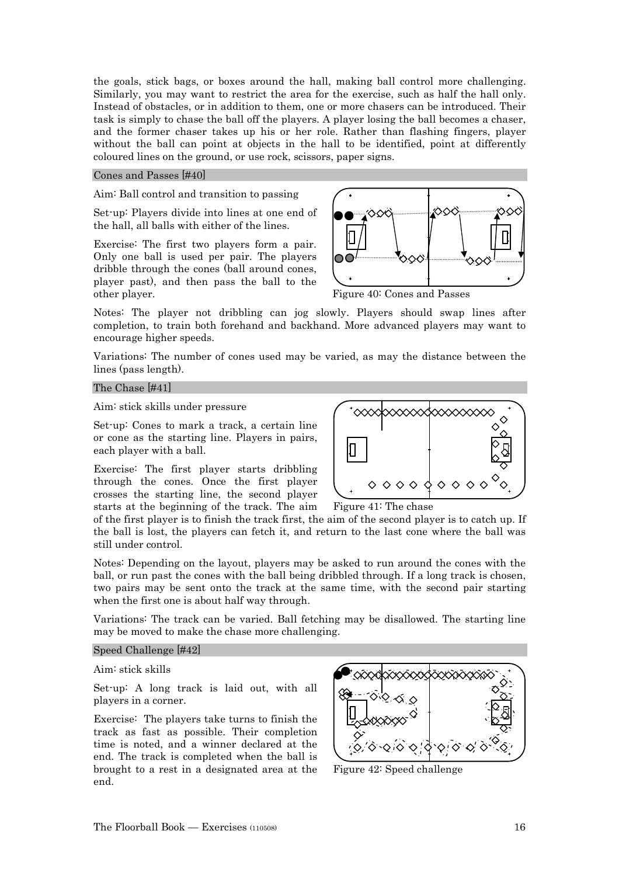the goals, stick bags, or boxes around the hall, making ball control more challenging. Similarly, you may want to restrict the area for the exercise, such as half the hall only. Instead of obstacles, or in addition to them, one or more chasers can be introduced. Their task is simply to chase the ball off the players. A player losing the ball becomes a chaser, and the former chaser takes up his or her role. Rather than flashing fingers, player without the ball can point at objects in the hall to be identified, point at differently coloured lines on the ground, or use rock, scissors, paper signs.

#### Cones and Passes [#40]

#### Aim: Ball control and transition to passing

Set-up: Players divide into lines at one end of the hall, all balls with either of the lines.

Exercise: The first two players form a pair. Only one ball is used per pair. The players dribble through the cones (ball around cones, player past), and then pass the ball to the other player.



Figure 40: Cones and Passes

Notes: The player not dribbling can jog slowly. Players should swap lines after completion, to train both forehand and backhand. More advanced players may want to encourage higher speeds.

Variations: The number of cones used may be varied, as may the distance between the lines (pass length).

#### The Chase [#41]

Aim: stick skills under pressure

Set-up: Cones to mark a track, a certain line or cone as the starting line. Players in pairs, each player with a ball.

Exercise: The first player starts dribbling through the cones. Once the first player crosses the starting line, the second player starts at the beginning of the track. The aim



Figure 41: The chase

of the first player is to finish the track first, the aim of the second player is to catch up. If the ball is lost, the players can fetch it, and return to the last cone where the ball was still under control.

Notes: Depending on the layout, players may be asked to run around the cones with the ball, or run past the cones with the ball being dribbled through. If a long track is chosen, two pairs may be sent onto the track at the same time, with the second pair starting when the first one is about half way through.

Variations: The track can be varied. Ball fetching may be disallowed. The starting line may be moved to make the chase more challenging.

#### Speed Challenge [#42]

Aim: stick skills

Set-up: A long track is laid out, with all players in a corner.

Exercise: The players take turns to finish the track as fast as possible. Their completion time is noted, and a winner declared at the end. The track is completed when the ball is brought to a rest in a designated area at the end.



Figure 42: Speed challenge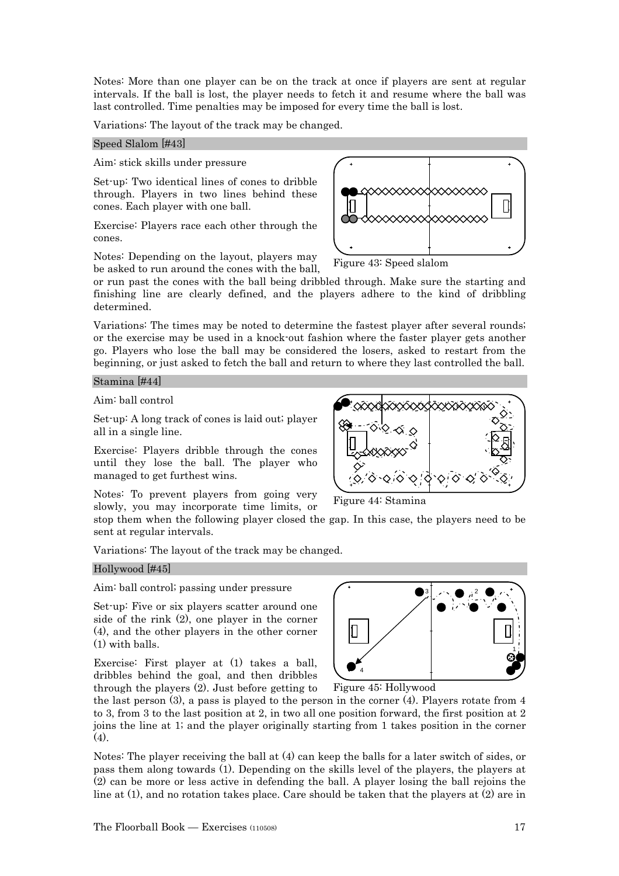Notes: More than one player can be on the track at once if players are sent at regular intervals. If the ball is lost, the player needs to fetch it and resume where the ball was last controlled. Time penalties may be imposed for every time the ball is lost.

Variations: The layout of the track may be changed.

#### Speed Slalom [#43]

Aim: stick skills under pressure

Set-up: Two identical lines of cones to dribble through. Players in two lines behind these cones. Each player with one ball.

Exercise: Players race each other through the cones.

Notes: Depending on the layout, players may be asked to run around the cones with the ball,

or run past the cones with the ball being dribbled through. Make sure the starting and finishing line are clearly defined, and the players adhere to the kind of dribbling determined.

Variations: The times may be noted to determine the fastest player after several rounds; or the exercise may be used in a knock-out fashion where the faster player gets another go. Players who lose the ball may be considered the losers, asked to restart from the beginning, or just asked to fetch the ball and return to where they last controlled the ball.

Stamina [#44]

Aim: ball control

Set-up: A long track of cones is laid out; player all in a single line.

Exercise: Players dribble through the cones until they lose the ball. The player who managed to get furthest wins.

Notes: To prevent players from going very slowly, you may incorporate time limits, or

stop them when the following player closed the gap. In this case, the players need to be sent at regular intervals.

Variations: The layout of the track may be changed.

#### Hollywood [#45]

Aim: ball control; passing under pressure

Set-up: Five or six players scatter around one side of the rink (2), one player in the corner (4), and the other players in the other corner (1) with balls.

Exercise: First player at (1) takes a ball, dribbles behind the goal, and then dribbles through the players (2). Just before getting to

the last person  $(3)$ , a pass is played to the person in the corner  $(4)$ . Players rotate from 4 to 3, from 3 to the last position at 2, in two all one position forward, the first position at 2 joins the line at 1; and the player originally starting from 1 takes position in the corner  $(4)$ .

Notes: The player receiving the ball at (4) can keep the balls for a later switch of sides, or pass them along towards (1). Depending on the skills level of the players, the players at (2) can be more or less active in defending the ball. A player losing the ball rejoins the line at (1), and no rotation takes place. Care should be taken that the players at (2) are in







Figure 45: Hollywood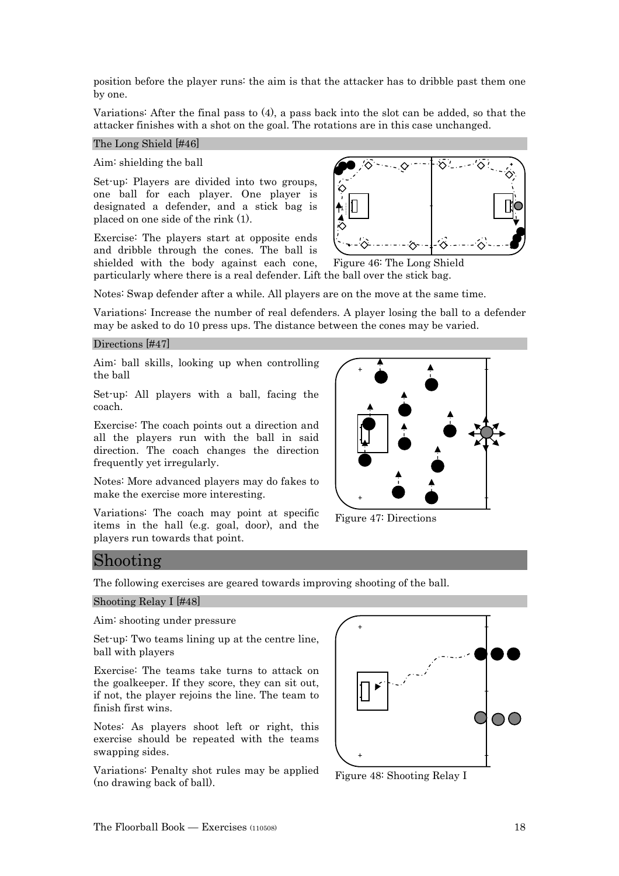position before the player runs: the aim is that the attacker has to dribble past them one by one.

Variations: After the final pass to (4), a pass back into the slot can be added, so that the attacker finishes with a shot on the goal. The rotations are in this case unchanged.

#### The Long Shield [#46]

Aim: shielding the ball

Set-up: Players are divided into two groups, one ball for each player. One player is designated a defender, and a stick bag is placed on one side of the rink (1).

Exercise: The players start at opposite ends and dribble through the cones. The ball is shielded with the body against each cone,



particularly where there is a real defender. Lift the ball over the stick bag. Figure 46: The Long Shield

Notes: Swap defender after a while. All players are on the move at the same time.

Variations: Increase the number of real defenders. A player losing the ball to a defender may be asked to do 10 press ups. The distance between the cones may be varied.

#### Directions [#47]

Aim: ball skills, looking up when controlling the ball

Set-up: All players with a ball, facing the coach.

Exercise: The coach points out a direction and all the players run with the ball in said direction. The coach changes the direction frequently yet irregularly.

Notes: More advanced players may do fakes to make the exercise more interesting.

Variations: The coach may point at specific items in the hall (e.g. goal, door), and the players run towards that point.



Figure 47: Directions

## Shooting

The following exercises are geared towards improving shooting of the ball.

#### Shooting Relay I [#48]

#### Aim: shooting under pressure

Set-up: Two teams lining up at the centre line, ball with players

Exercise: The teams take turns to attack on the goalkeeper. If they score, they can sit out, if not, the player rejoins the line. The team to finish first wins.

Notes: As players shoot left or right, this exercise should be repeated with the teams swapping sides.

Variations: Penalty shot rules may be applied (no drawing back of ball).



Figure 48: Shooting Relay I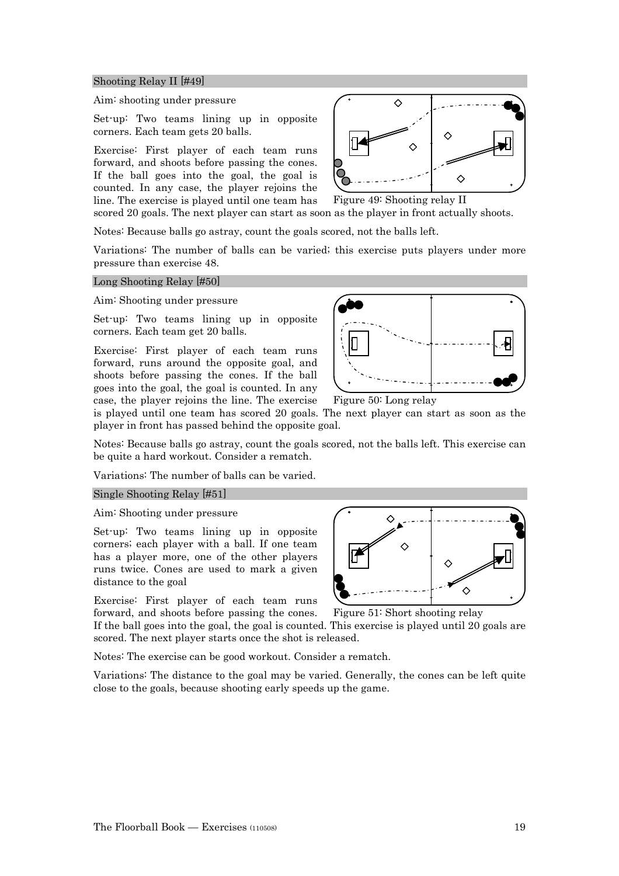#### Shooting Relay II [#49]

#### Aim: shooting under pressure

Set-up: Two teams lining up in opposite corners. Each team gets 20 balls.

Exercise: First player of each team runs forward, and shoots before passing the cones. If the ball goes into the goal, the goal is counted. In any case, the player rejoins the line. The exercise is played until one team has scored 20 goals. The next player can start as soon as the player in front actually shoots.

Notes: Because balls go astray, count the goals scored, not the balls left.

Variations: The number of balls can be varied; this exercise puts players under more pressure than exercise 48.

#### Long Shooting Relay [#50]

Aim: Shooting under pressure

Set-up: Two teams lining up in opposite corners. Each team get 20 balls.

Exercise: First player of each team runs forward, runs around the opposite goal, and shoots before passing the cones. If the ball goes into the goal, the goal is counted. In any case, the player rejoins the line. The exercise



Figure 49: Shooting relay II

 $\Diamond$ 

♦

⌒

♦

Figure 50: Long relay

is played until one team has scored 20 goals. The next player can start as soon as the player in front has passed behind the opposite goal.

Notes: Because balls go astray, count the goals scored, not the balls left. This exercise can be quite a hard workout. Consider a rematch.

Variations: The number of balls can be varied.

#### Single Shooting Relay [#51]

Aim: Shooting under pressure

Set-up: Two teams lining up in opposite corners; each player with a ball. If one team has a player more, one of the other players runs twice. Cones are used to mark a given distance to the goal

Exercise: First player of each team runs

forward, and shoots before passing the cones. If the ball goes into the goal, the goal is counted. This exercise is played until 20 goals are scored. The next player starts once the shot is released.

Notes: The exercise can be good workout. Consider a rematch.

Variations: The distance to the goal may be varied. Generally, the cones can be left quite close to the goals, because shooting early speeds up the game.



Figure 51: Short shooting relay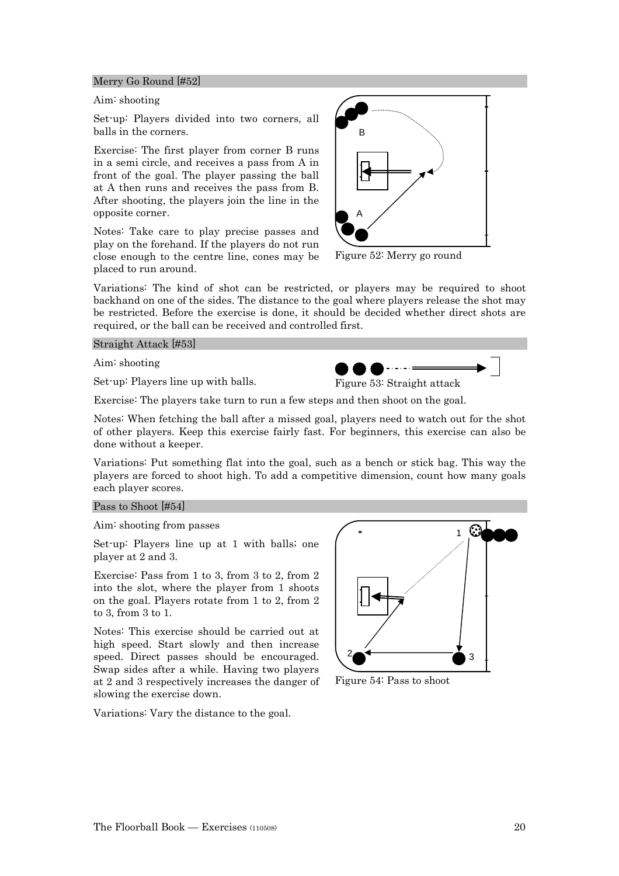#### Merry Go Round [#52]

#### Aim: shooting

Set-up: Players divided into two corners, all balls in the corners.

Exercise: The first player from corner B runs in a semi circle, and receives a pass from A in front of the goal. The player passing the ball at A then runs and receives the pass from B. After shooting, the players join the line in the opposite corner.

Notes: Take care to play precise passes and play on the forehand. If the players do not run close enough to the centre line, cones may be placed to run around.



Figure 52: Merry go round

 $\begin{picture}(20,20) \put(0,0){\line(1,0){10}} \put(15,0){\line(1,0){10}} \put(15,0){\line(1,0){10}} \put(15,0){\line(1,0){10}} \put(15,0){\line(1,0){10}} \put(15,0){\line(1,0){10}} \put(15,0){\line(1,0){10}} \put(15,0){\line(1,0){10}} \put(15,0){\line(1,0){10}} \put(15,0){\line(1,0){10}} \put(15,0){\line(1,0){10}} \put(15,0){\line(1$ 

Variations: The kind of shot can be restricted, or players may be required to shoot backhand on one of the sides. The distance to the goal where players release the shot may be restricted. Before the exercise is done, it should be decided whether direct shots are required, or the ball can be received and controlled first.

Straight Attack [#53]

Aim: shooting

Set-up: Players line up with balls.



Notes: When fetching the ball after a missed goal, players need to watch out for the shot of other players. Keep this exercise fairly fast. For beginners, this exercise can also be done without a keeper.

Variations: Put something flat into the goal, such as a bench or stick bag. This way the players are forced to shoot high. To add a competitive dimension, count how many goals each player scores.

#### Pass to Shoot [#54]

Aim: shooting from passes

Set-up: Players line up at 1 with balls; one player at 2 and 3.

Exercise: Pass from 1 to 3, from 3 to 2, from 2 into the slot, where the player from 1 shoots on the goal. Players rotate from 1 to 2, from 2 to 3, from 3 to 1.

Notes: This exercise should be carried out at high speed. Start slowly and then increase speed. Direct passes should be encouraged. Swap sides after a while. Having two players at 2 and 3 respectively increases the danger of slowing the exercise down.

Variations: Vary the distance to the goal.



Figure 54: Pass to shoot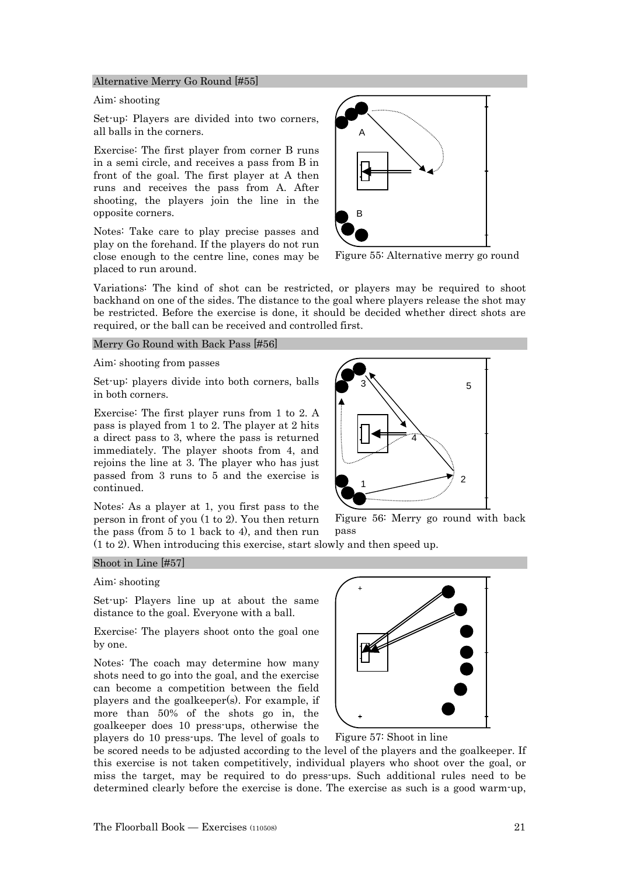#### Alternative Merry Go Round [#55]

#### Aim: shooting

Set-up: Players are divided into two corners, all balls in the corners.

Exercise: The first player from corner B runs in a semi circle, and receives a pass from B in front of the goal. The first player at A then runs and receives the pass from A. After shooting, the players join the line in the opposite corners.

Notes: Take care to play precise passes and play on the forehand. If the players do not run close enough to the centre line, cones may be placed to run around.



Figure 55: Alternative merry go round

Variations: The kind of shot can be restricted, or players may be required to shoot backhand on one of the sides. The distance to the goal where players release the shot may be restricted. Before the exercise is done, it should be decided whether direct shots are required, or the ball can be received and controlled first.

#### Merry Go Round with Back Pass [#56]

Aim: shooting from passes

Set-up: players divide into both corners, balls in both corners.

Exercise: The first player runs from 1 to 2. A pass is played from 1 to 2. The player at 2 hits a direct pass to 3, where the pass is returned immediately. The player shoots from 4, and rejoins the line at 3. The player who has just passed from 3 runs to 5 and the exercise is continued.

Notes: As a player at 1, you first pass to the person in front of you (1 to 2). You then return the pass (from 5 to 1 back to 4), and then run



Figure 56: Merry go round with back pass

(1 to 2). When introducing this exercise, start slowly and then speed up.

#### Shoot in Line [#57]

#### Aim: shooting

Set-up: Players line up at about the same distance to the goal. Everyone with a ball.

Exercise: The players shoot onto the goal one by one.

Notes: The coach may determine how many shots need to go into the goal, and the exercise can become a competition between the field players and the goalkeeper(s). For example, if more than 50% of the shots go in, the goalkeeper does 10 press-ups, otherwise the players do 10 press-ups. The level of goals to



Figure 57: Shoot in line

be scored needs to be adjusted according to the level of the players and the goalkeeper. If this exercise is not taken competitively, individual players who shoot over the goal, or miss the target, may be required to do press-ups. Such additional rules need to be determined clearly before the exercise is done. The exercise as such is a good warm-up,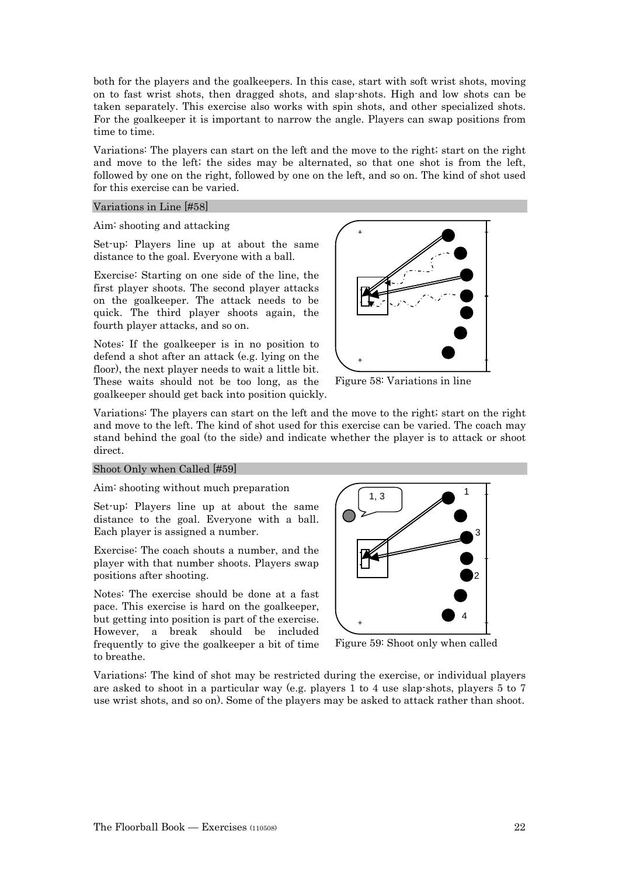both for the players and the goalkeepers. In this case, start with soft wrist shots, moving on to fast wrist shots, then dragged shots, and slap-shots. High and low shots can be taken separately. This exercise also works with spin shots, and other specialized shots. For the goalkeeper it is important to narrow the angle. Players can swap positions from time to time.

Variations: The players can start on the left and the move to the right; start on the right and move to the left; the sides may be alternated, so that one shot is from the left, followed by one on the right, followed by one on the left, and so on. The kind of shot used for this exercise can be varied.

#### Variations in Line [#58]

#### Aim: shooting and attacking

Set-up: Players line up at about the same distance to the goal. Everyone with a ball.

Exercise: Starting on one side of the line, the first player shoots. The second player attacks on the goalkeeper. The attack needs to be quick. The third player shoots again, the fourth player attacks, and so on.

Notes: If the goalkeeper is in no position to defend a shot after an attack (e.g. lying on the floor), the next player needs to wait a little bit. These waits should not be too long, as the goalkeeper should get back into position quickly.



Figure 58: Variations in line

Variations: The players can start on the left and the move to the right; start on the right and move to the left. The kind of shot used for this exercise can be varied. The coach may stand behind the goal (to the side) and indicate whether the player is to attack or shoot direct.

#### Shoot Only when Called [#59]

#### Aim: shooting without much preparation

Set-up: Players line up at about the same distance to the goal. Everyone with a ball. Each player is assigned a number.

Exercise: The coach shouts a number, and the player with that number shoots. Players swap positions after shooting.

Notes: The exercise should be done at a fast pace. This exercise is hard on the goalkeeper, but getting into position is part of the exercise. However, a break should be included frequently to give the goalkeeper a bit of time to breathe.



Figure 59: Shoot only when called

Variations: The kind of shot may be restricted during the exercise, or individual players are asked to shoot in a particular way (e.g. players 1 to 4 use slap-shots, players 5 to 7 use wrist shots, and so on). Some of the players may be asked to attack rather than shoot.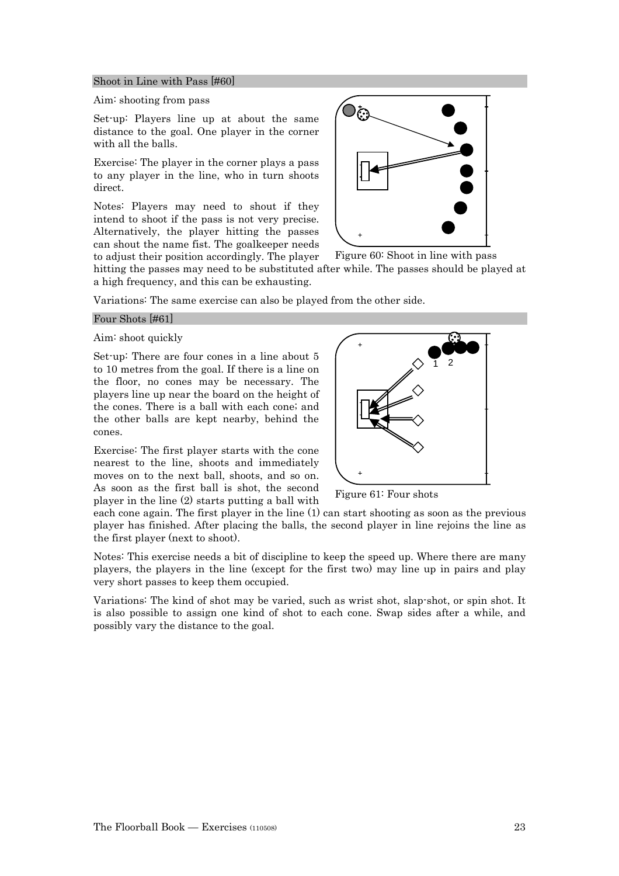#### Shoot in Line with Pass [#60]

#### Aim: shooting from pass

Set-up: Players line up at about the same distance to the goal. One player in the corner with all the balls.

Exercise: The player in the corner plays a pass to any player in the line, who in turn shoots direct.

Notes: Players may need to shout if they intend to shoot if the pass is not very precise. Alternatively, the player hitting the passes can shout the name fist. The goalkeeper needs to adjust their position accordingly. The player



Figure 60: Shoot in line with pass

hitting the passes may need to be substituted after while. The passes should be played at a high frequency, and this can be exhausting.

Variations: The same exercise can also be played from the other side.

#### Four Shots [#61]

Aim: shoot quickly

Set-up: There are four cones in a line about 5 to 10 metres from the goal. If there is a line on the floor, no cones may be necessary. The players line up near the board on the height of the cones. There is a ball with each cone; and the other balls are kept nearby, behind the cones.

Exercise: The first player starts with the cone nearest to the line, shoots and immediately moves on to the next ball, shoots, and so on. As soon as the first ball is shot, the second player in the line (2) starts putting a ball with



Figure 61: Four shots

each cone again. The first player in the line (1) can start shooting as soon as the previous player has finished. After placing the balls, the second player in line rejoins the line as the first player (next to shoot).

Notes: This exercise needs a bit of discipline to keep the speed up. Where there are many players, the players in the line (except for the first two) may line up in pairs and play very short passes to keep them occupied.

Variations: The kind of shot may be varied, such as wrist shot, slap-shot, or spin shot. It is also possible to assign one kind of shot to each cone. Swap sides after a while, and possibly vary the distance to the goal.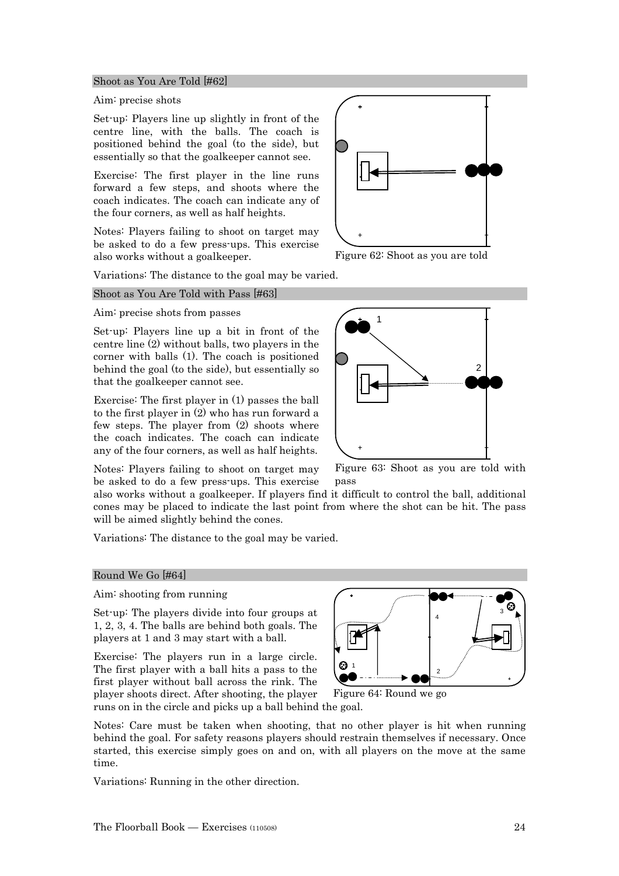## centre line (2) without balls, two players in the

corner with balls (1). The coach is positioned behind the goal (to the side), but essentially so that the goalkeeper cannot see. Exercise: The first player in (1) passes the ball

Set-up: Players line up a bit in front of the

to the first player in (2) who has run forward a few steps. The player from (2) shoots where the coach indicates. The coach can indicate any of the four corners, as well as half heights.

Notes: Players failing to shoot on target may be asked to do a few press-ups. This exercise

also works without a goalkeeper. If players find it difficult to control the ball, additional cones may be placed to indicate the last point from where the shot can be hit. The pass will be aimed slightly behind the cones.

Variations: The distance to the goal may be varied.

#### Round We Go [#64]

Aim: shooting from running

Set-up: The players divide into four groups at 1, 2, 3, 4. The balls are behind both goals. The players at 1 and 3 may start with a ball.

Exercise: The players run in a large circle. The first player with a ball hits a pass to the first player without ball across the rink. The player shoots direct. After shooting, the player runs on in the circle and picks up a ball behind the goal.

Notes: Care must be taken when shooting, that no other player is hit when running behind the goal. For safety reasons players should restrain themselves if necessary. Once started, this exercise simply goes on and on, with all players on the move at the same time.

Variations: Running in the other direction.

Figure 63: Shoot as you are told with pass

Shoot as You Are Told [#62]

#### Aim: precise shots

Set-up: Players line up slightly in front of the centre line, with the balls. The coach is positioned behind the goal (to the side), but essentially so that the goalkeeper cannot see.

Exercise: The first player in the line runs forward a few steps, and shoots where the coach indicates. The coach can indicate any of the four corners, as well as half heights.

Notes: Players failing to shoot on target may be asked to do a few press-ups. This exercise also works without a goalkeeper.

Variations: The distance to the goal may be varied.

### Shoot as You Are Told with Pass [#63]





1 2 3 4



Figure 62: Shoot as you are told

Figure 64: Round we go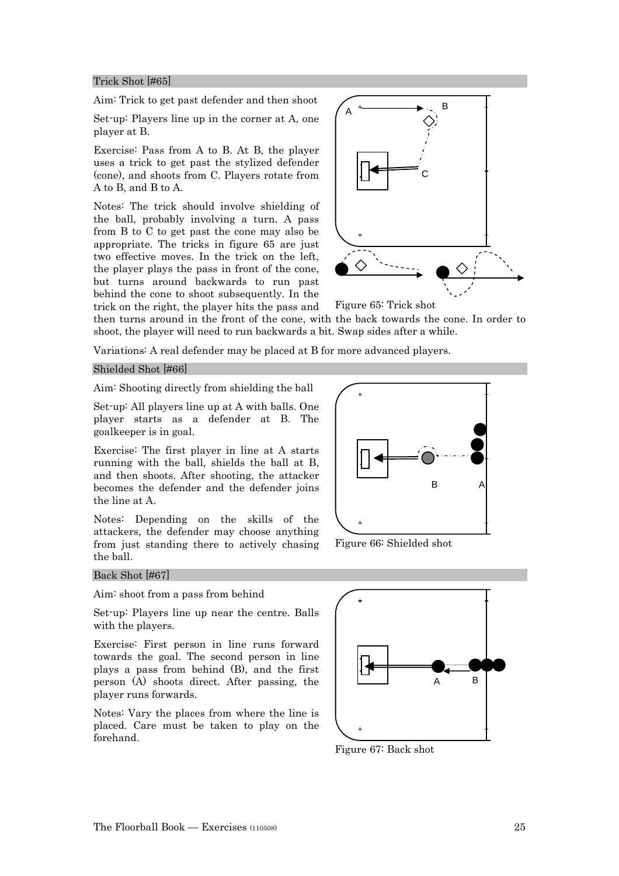#### Trick Shot [#65]

Aim: Trick to get past defender and then shoot

Set-up: Players line up in the corner at A, one player at B.

Exercise: Pass from A to B. At B, the player uses a trick to get past the stylized defender (cone), and shoots from C. Players rotate from A to B, and B to A.

Notes: The trick should involve shielding of the ball, probably involving a turn. A pass from B to C to get past the cone may also be appropriate. The tricks in figure 65 are just two effective moves. In the trick on the left, the player plays the pass in front of the cone, but turns around backwards to run past behind the cone to shoot subsequently. In the trick on the right, the player hits the pass and



Figure 65: Trick shot

then turns around in the front of the cone, with the back towards the cone. In order to shoot, the player will need to run backwards a bit. Swap sides after a while.

Variations: A real defender may be placed at B for more advanced players.

#### Shielded Shot [#66]

Aim: Shooting directly from shielding the ball

Set-up: All players line up at A with balls. One player starts as a defender at B. The goalkeeper is in goal.

Exercise: The first player in line at A starts running with the ball, shields the ball at B, and then shoots. After shooting, the attacker becomes the defender and the defender joins the line at A.

Notes: Depending on the skills of the attackers, the defender may choose anything from just standing there to actively chasing the ball.



Figure 66: Shielded shot

#### Back Shot [#67]

Aim: shoot from a pass from behind

Set-up: Players line up near the centre. Balls with the players.

Exercise: First person in line runs forward towards the goal. The second person in line plays a pass from behind (B), and the first person (A) shoots direct. After passing, the player runs forwards.

Notes: Vary the places from where the line is placed. Care must be taken to play on the forehand.



Figure 67: Back shot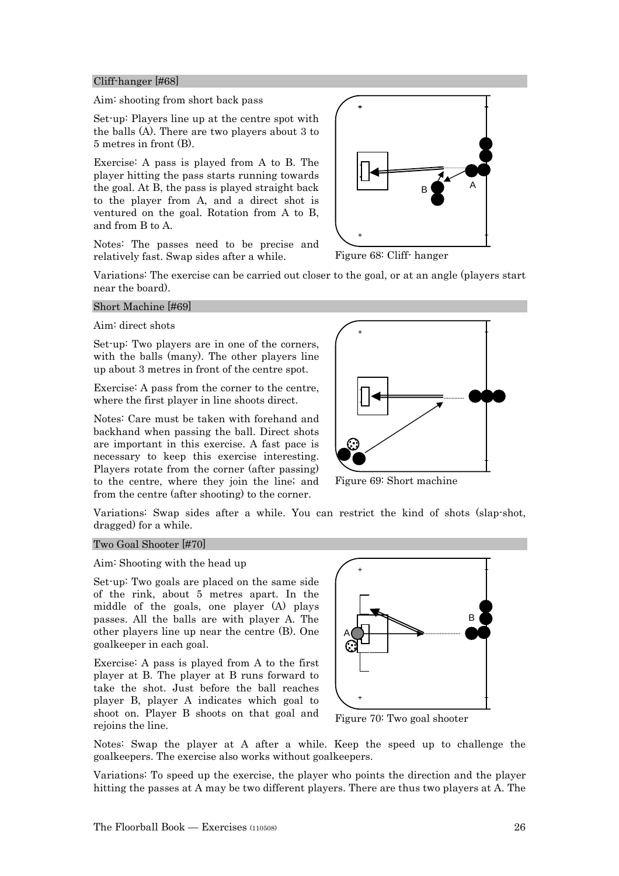#### Cliff-hanger [#68]

Aim: shooting from short back pass

Set-up: Players line up at the centre spot with the balls (A). There are two players about 3 to 5 metres in front (B).

Exercise: A pass is played from A to B. The player hitting the pass starts running towards the goal. At B, the pass is played straight back to the player from A, and a direct shot is ventured on the goal. Rotation from A to B, and from B to A.

Notes: The passes need to be precise and relatively fast. Swap sides after a while.



Figure 68: Cliff- hanger

Variations: The exercise can be carried out closer to the goal, or at an angle (players start near the board).

#### Short Machine [#69]

#### Aim: direct shots

Set-up: Two players are in one of the corners, with the balls (many). The other players line up about 3 metres in front of the centre spot.

Exercise: A pass from the corner to the centre, where the first player in line shoots direct.

Notes: Care must be taken with forehand and backhand when passing the ball. Direct shots are important in this exercise. A fast pace is necessary to keep this exercise interesting. Players rotate from the corner (after passing) to the centre, where they join the line; and from the centre (after shooting) to the corner.



Figure 69: Short machine

Variations: Swap sides after a while. You can restrict the kind of shots (slap-shot, dragged) for a while.

#### Two Goal Shooter [#70]

Aim: Shooting with the head up

Set-up: Two goals are placed on the same side of the rink, about 5 metres apart. In the middle of the goals, one player (A) plays passes. All the balls are with player A. The other players line up near the centre (B). One goalkeeper in each goal.

Exercise: A pass is played from A to the first player at B. The player at B runs forward to take the shot. Just before the ball reaches player B, player A indicates which goal to shoot on. Player B shoots on that goal and rejoins the line.



Figure 70: Two goal shooter

Notes: Swap the player at A after a while. Keep the speed up to challenge the goalkeepers. The exercise also works without goalkeepers.

Variations: To speed up the exercise, the player who points the direction and the player hitting the passes at A may be two different players. There are thus two players at A. The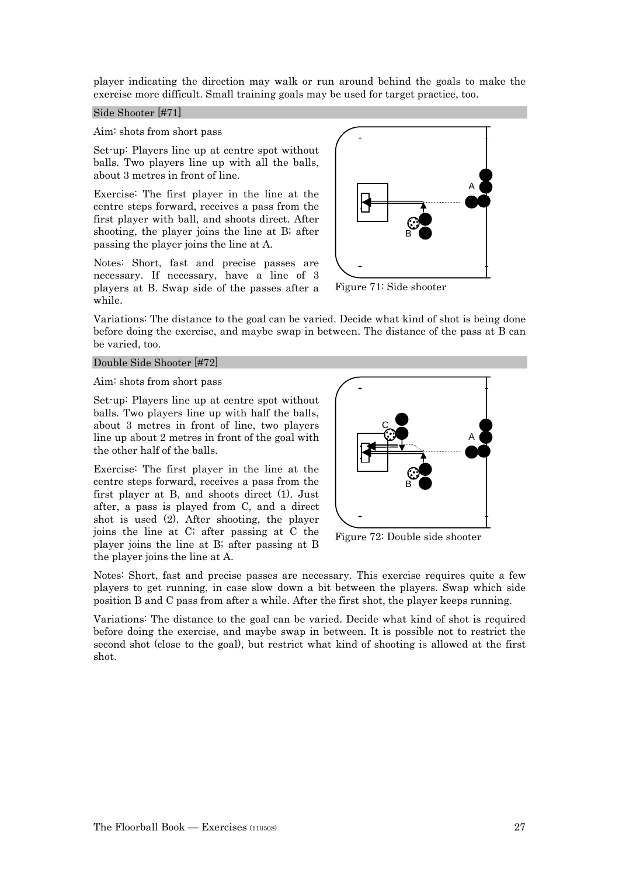player indicating the direction may walk or run around behind the goals to make the exercise more difficult. Small training goals may be used for target practice, too.

#### Side Shooter [#71]

#### Aim: shots from short pass

Set-up: Players line up at centre spot without balls. Two players line up with all the balls, about 3 metres in front of line.

Exercise: The first player in the line at the centre steps forward, receives a pass from the first player with ball, and shoots direct. After shooting, the player joins the line at B; after passing the player joins the line at A.

Notes: Short, fast and precise passes are necessary. If necessary, have a line of 3 players at B. Swap side of the passes after a while.



Figure 71: Side shooter

Variations: The distance to the goal can be varied. Decide what kind of shot is being done before doing the exercise, and maybe swap in between. The distance of the pass at B can be varied, too.

#### Double Side Shooter [#72]

#### Aim: shots from short pass

Set-up: Players line up at centre spot without balls. Two players line up with half the balls, about 3 metres in front of line, two players line up about 2 metres in front of the goal with the other half of the balls.

Exercise: The first player in the line at the centre steps forward, receives a pass from the first player at B, and shoots direct (1). Just after, a pass is played from C, and a direct shot is used (2). After shooting, the player joins the line at C; after passing at C the player joins the line at B; after passing at B the player joins the line at A.



Figure 72: Double side shooter

Notes: Short, fast and precise passes are necessary. This exercise requires quite a few players to get running, in case slow down a bit between the players. Swap which side position B and C pass from after a while. After the first shot, the player keeps running.

Variations: The distance to the goal can be varied. Decide what kind of shot is required before doing the exercise, and maybe swap in between. It is possible not to restrict the second shot (close to the goal), but restrict what kind of shooting is allowed at the first shot.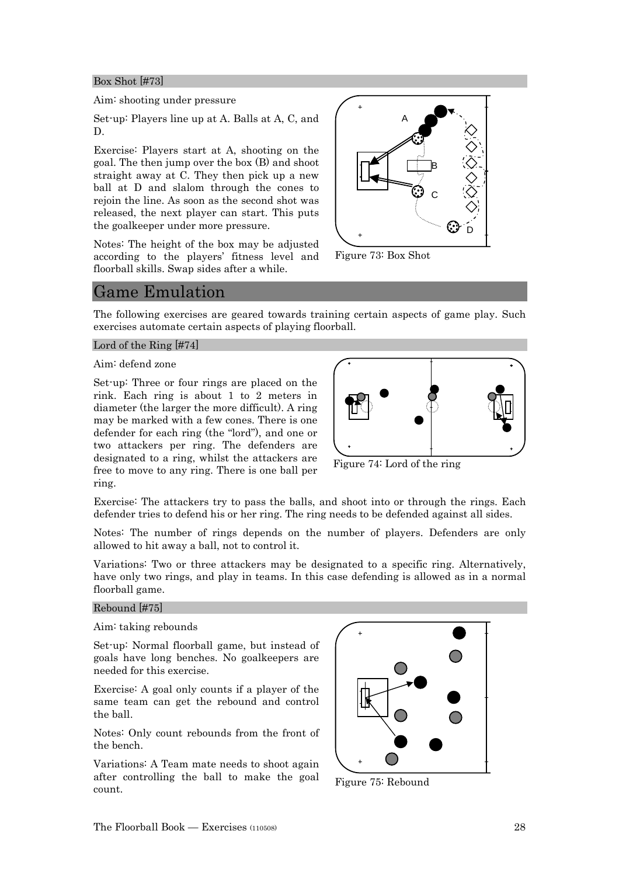#### Box Shot [#73]

#### Aim: shooting under pressure

Set-up: Players line up at A. Balls at A, C, and D.

Exercise: Players start at A, shooting on the goal. The then jump over the box (B) and shoot straight away at C. They then pick up a new ball at D and slalom through the cones to rejoin the line. As soon as the second shot was released, the next player can start. This puts the goalkeeper under more pressure.

Notes: The height of the box may be adjusted according to the players' fitness level and floorball skills. Swap sides after a while.



Figure 73: Box Shot

## Game Emulation

The following exercises are geared towards training certain aspects of game play. Such exercises automate certain aspects of playing floorball.

#### Lord of the Ring [#74]

Aim: defend zone

Set-up: Three or four rings are placed on the rink. Each ring is about 1 to 2 meters in diameter (the larger the more difficult). A ring may be marked with a few cones. There is one defender for each ring (the "lord"), and one or two attackers per ring. The defenders are designated to a ring, whilst the attackers are free to move to any ring. There is one ball per ring.



Figure 74: Lord of the ring

Exercise: The attackers try to pass the balls, and shoot into or through the rings. Each defender tries to defend his or her ring. The ring needs to be defended against all sides.

Notes: The number of rings depends on the number of players. Defenders are only allowed to hit away a ball, not to control it.

Variations: Two or three attackers may be designated to a specific ring. Alternatively, have only two rings, and play in teams. In this case defending is allowed as in a normal floorball game.

#### Rebound [#75]

#### Aim: taking rebounds

Set-up: Normal floorball game, but instead of goals have long benches. No goalkeepers are needed for this exercise.

Exercise: A goal only counts if a player of the same team can get the rebound and control the ball.

Notes: Only count rebounds from the front of the bench.

Variations: A Team mate needs to shoot again after controlling the ball to make the goal count.



Figure 75: Rebound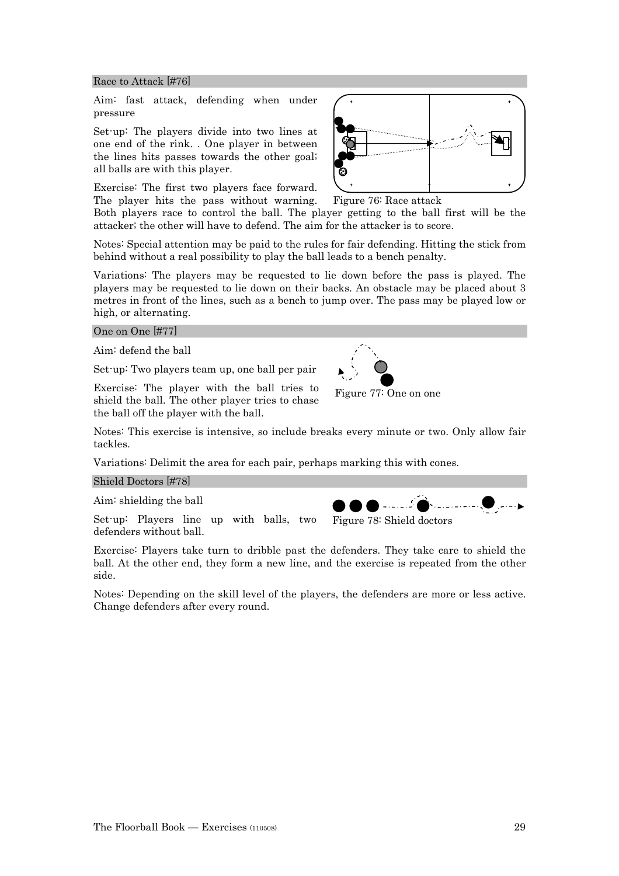Set-up: Players line up with balls, two defenders without ball.

Exercise: Players take turn to dribble past the defenders. They take care to shield the ball. At the other end, they form a new line, and the exercise is repeated from the other side.

Notes: Depending on the skill level of the players, the defenders are more or less active. Change defenders after every round.

#### Race to Attack [#76]

Aim: fast attack, defending when under pressure

Set-up: The players divide into two lines at one end of the rink. . One player in between the lines hits passes towards the other goal; all balls are with this player.

Exercise: The first two players face forward. The player hits the pass without warning.

Both players race to control the ball. The player getting to the ball first will be the attacker; the other will have to defend. The aim for the attacker is to score.

Notes: Special attention may be paid to the rules for fair defending. Hitting the stick from behind without a real possibility to play the ball leads to a bench penalty.

Variations: The players may be requested to lie down before the pass is played. The players may be requested to lie down on their backs. An obstacle may be placed about 3 metres in front of the lines, such as a bench to jump over. The pass may be played low or high, or alternating.

#### One on One [#77]

Aim: defend the ball

Set-up: Two players team up, one ball per pair

Exercise: The player with the ball tries to shield the ball. The other player tries to chase the ball off the player with the ball.

Notes: This exercise is intensive, so include breaks every minute or two. Only allow fair tackles.

Variations: Delimit the area for each pair, perhaps marking this with cones.

#### Shield Doctors [#78]

Aim: shielding the ball



Figure 77: One on one

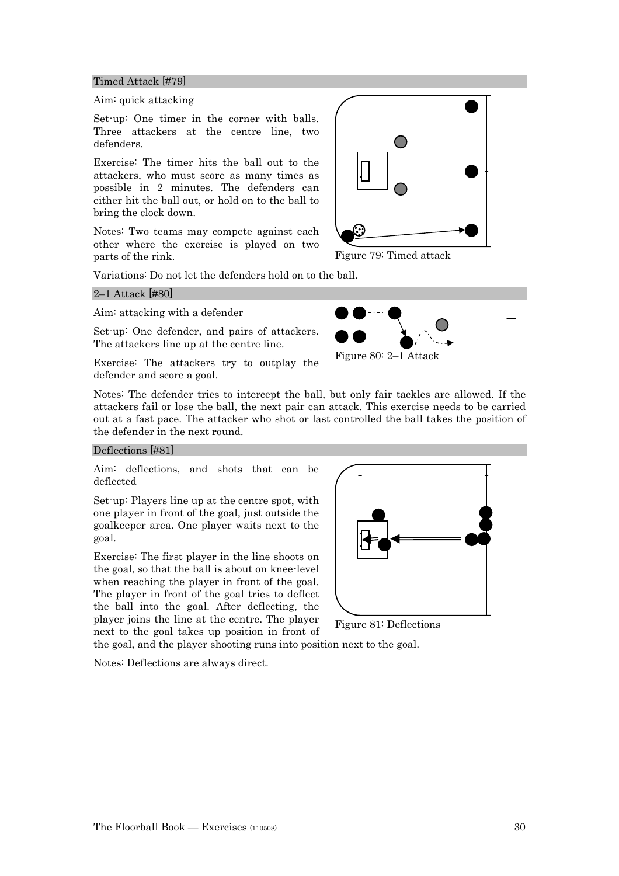#### Timed Attack [#79]

#### Aim: quick attacking

Set-up: One timer in the corner with balls. Three attackers at the centre line, two defenders.

Exercise: The timer hits the ball out to the attackers, who must score as many times as possible in 2 minutes. The defenders can either hit the ball out, or hold on to the ball to bring the clock down.

Notes: Two teams may compete against each other where the exercise is played on two parts of the rink.

Variations: Do not let the defenders hold on to the ball.

#### 2–1 Attack [#80]

Aim: attacking with a defender

Set-up: One defender, and pairs of attackers. The attackers line up at the centre line.

Exercise: The attackers try to outplay the defender and score a goal.



Figure 79: Timed attack



Figure 80: 2–1 Attack

Notes: The defender tries to intercept the ball, but only fair tackles are allowed. If the attackers fail or lose the ball, the next pair can attack. This exercise needs to be carried out at a fast pace. The attacker who shot or last controlled the ball takes the position of the defender in the next round.

#### Deflections [#81]

Aim: deflections, and shots that can be deflected

Set-up: Players line up at the centre spot, with one player in front of the goal, just outside the goalkeeper area. One player waits next to the goal.

Exercise: The first player in the line shoots on the goal, so that the ball is about on knee-level when reaching the player in front of the goal. The player in front of the goal tries to deflect the ball into the goal. After deflecting, the player joins the line at the centre. The player next to the goal takes up position in front of



Figure 81: Deflections

the goal, and the player shooting runs into position next to the goal.

Notes: Deflections are always direct.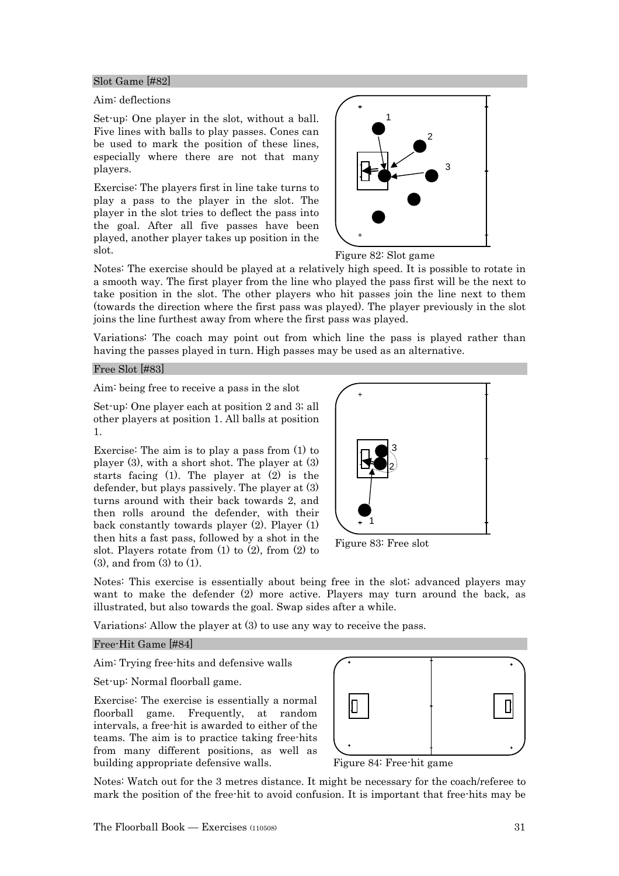#### Slot Game [#82]

#### Aim: deflections

Set-up: One player in the slot, without a ball. Five lines with balls to play passes. Cones can be used to mark the position of these lines, especially where there are not that many players.

Exercise: The players first in line take turns to play a pass to the player in the slot. The player in the slot tries to deflect the pass into the goal. After all five passes have been played, another player takes up position in the slot.



Figure 82: Slot game

Notes: The exercise should be played at a relatively high speed. It is possible to rotate in a smooth way. The first player from the line who played the pass first will be the next to take position in the slot. The other players who hit passes join the line next to them (towards the direction where the first pass was played). The player previously in the slot joins the line furthest away from where the first pass was played.

Variations: The coach may point out from which line the pass is played rather than having the passes played in turn. High passes may be used as an alternative.

#### Free Slot [#83]

Aim: being free to receive a pass in the slot

Set-up: One player each at position 2 and 3; all other players at position 1. All balls at position 1.

Exercise: The aim is to play a pass from (1) to player (3), with a short shot. The player at (3) starts facing (1). The player at (2) is the defender, but plays passively. The player at (3) turns around with their back towards 2, and then rolls around the defender, with their back constantly towards player (2). Player (1) then hits a fast pass, followed by a shot in the slot. Players rotate from  $(1)$  to  $(2)$ , from  $(2)$  to (3), and from (3) to (1).



Figure 83: Free slot

Notes: This exercise is essentially about being free in the slot; advanced players may want to make the defender (2) more active. Players may turn around the back, as illustrated, but also towards the goal. Swap sides after a while.

Variations: Allow the player at (3) to use any way to receive the pass.

#### Free-Hit Game [#84]

Aim: Trying free-hits and defensive walls

Set-up: Normal floorball game.

Exercise: The exercise is essentially a normal floorball game. Frequently, at random intervals, a free-hit is awarded to either of the teams. The aim is to practice taking free-hits from many different positions, as well as building appropriate defensive walls.



Figure 84: Free-hit game

Notes: Watch out for the 3 metres distance. It might be necessary for the coach/referee to mark the position of the free-hit to avoid confusion. It is important that free-hits may be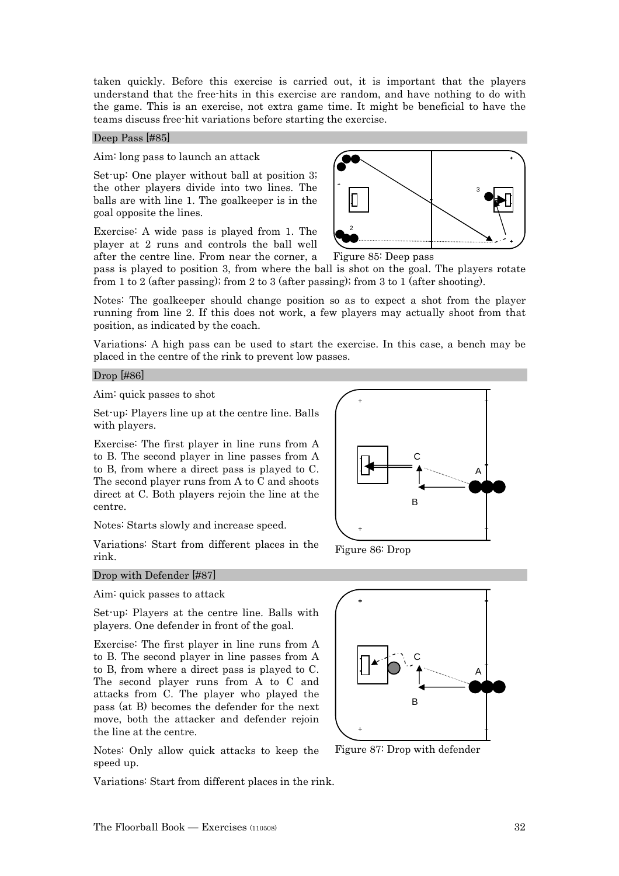taken quickly. Before this exercise is carried out, it is important that the players understand that the free-hits in this exercise are random, and have nothing to do with the game. This is an exercise, not extra game time. It might be beneficial to have the teams discuss free-hit variations before starting the exercise.

#### Deep Pass [#85]

#### Aim: long pass to launch an attack

Set-up: One player without ball at position 3; the other players divide into two lines. The balls are with line 1. The goalkeeper is in the goal opposite the lines.

Exercise: A wide pass is played from 1. The player at 2 runs and controls the ball well after the centre line. From near the corner, a



Figure 85: Deep pass

pass is played to position 3, from where the ball is shot on the goal. The players rotate from 1 to 2 (after passing); from 2 to 3 (after passing); from 3 to 1 (after shooting).

Notes: The goalkeeper should change position so as to expect a shot from the player running from line 2. If this does not work, a few players may actually shoot from that position, as indicated by the coach.

Variations: A high pass can be used to start the exercise. In this case, a bench may be placed in the centre of the rink to prevent low passes.

#### Drop [#86]

Aim: quick passes to shot

Set-up: Players line up at the centre line. Balls with players.

Exercise: The first player in line runs from A to B. The second player in line passes from A to B, from where a direct pass is played to C. The second player runs from A to C and shoots direct at C. Both players rejoin the line at the centre.

Notes: Starts slowly and increase speed.

Variations: Start from different places in the rink.



Figure 86: Drop

#### Drop with Defender [#87]

Aim: quick passes to attack

Set-up: Players at the centre line. Balls with players. One defender in front of the goal.

Exercise: The first player in line runs from A to B. The second player in line passes from A to B, from where a direct pass is played to C. The second player runs from A to C and attacks from C. The player who played the pass (at B) becomes the defender for the next move, both the attacker and defender rejoin the line at the centre.

Notes: Only allow quick attacks to keep the speed up.

Variations: Start from different places in the rink.



Figure 87: Drop with defender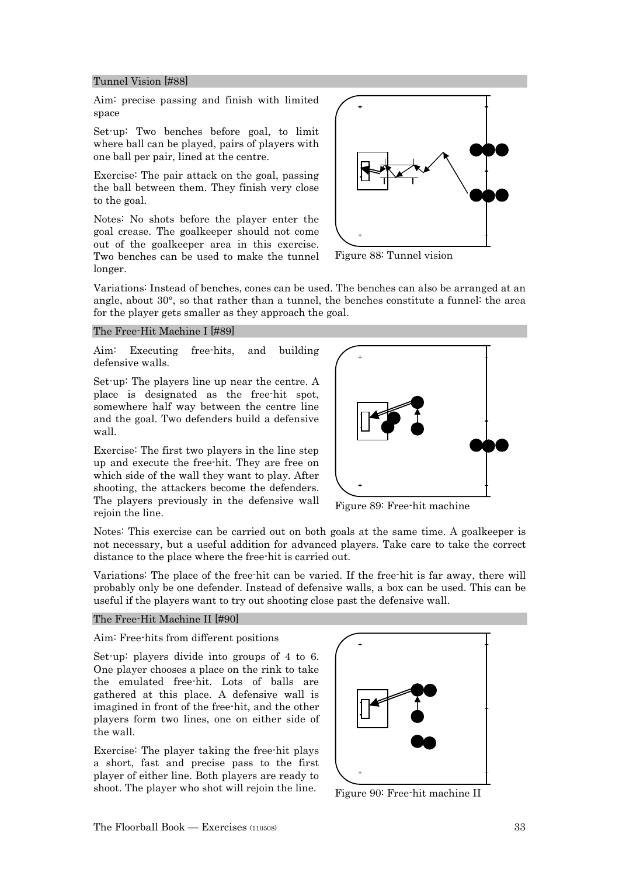#### Tunnel Vision [#88]

Aim: precise passing and finish with limited space

Set-up: Two benches before goal, to limit where ball can be played, pairs of players with one ball per pair, lined at the centre.

Exercise: The pair attack on the goal, passing the ball between them. They finish very close to the goal.

Notes: No shots before the player enter the goal crease. The goalkeeper should not come out of the goalkeeper area in this exercise. Two benches can be used to make the tunnel longer.



Figure 88: Tunnel vision

Variations: Instead of benches, cones can be used. The benches can also be arranged at an angle, about 30°, so that rather than a tunnel, the benches constitute a funnel: the area for the player gets smaller as they approach the goal.

#### The Free-Hit Machine I [#89]

Aim: Executing free-hits, and building defensive walls.

Set-up: The players line up near the centre. A place is designated as the free-hit spot, somewhere half way between the centre line and the goal. Two defenders build a defensive wall.

Exercise: The first two players in the line step up and execute the free-hit. They are free on which side of the wall they want to play. After shooting, the attackers become the defenders. The players previously in the defensive wall rejoin the line.



Figure 89: Free-hit machine

Notes: This exercise can be carried out on both goals at the same time. A goalkeeper is not necessary, but a useful addition for advanced players. Take care to take the correct distance to the place where the free-hit is carried out.

Variations: The place of the free-hit can be varied. If the free-hit is far away, there will probably only be one defender. Instead of defensive walls, a box can be used. This can be useful if the players want to try out shooting close past the defensive wall.

#### The Free-Hit Machine II [#90]

#### Aim: Free-hits from different positions

Set-up: players divide into groups of 4 to 6. One player chooses a place on the rink to take the emulated free-hit. Lots of balls are gathered at this place. A defensive wall is imagined in front of the free-hit, and the other players form two lines, one on either side of the wall.

Exercise: The player taking the free-hit plays a short, fast and precise pass to the first player of either line. Both players are ready to shoot. The player who shot will rejoin the line.



Figure 90: Free-hit machine II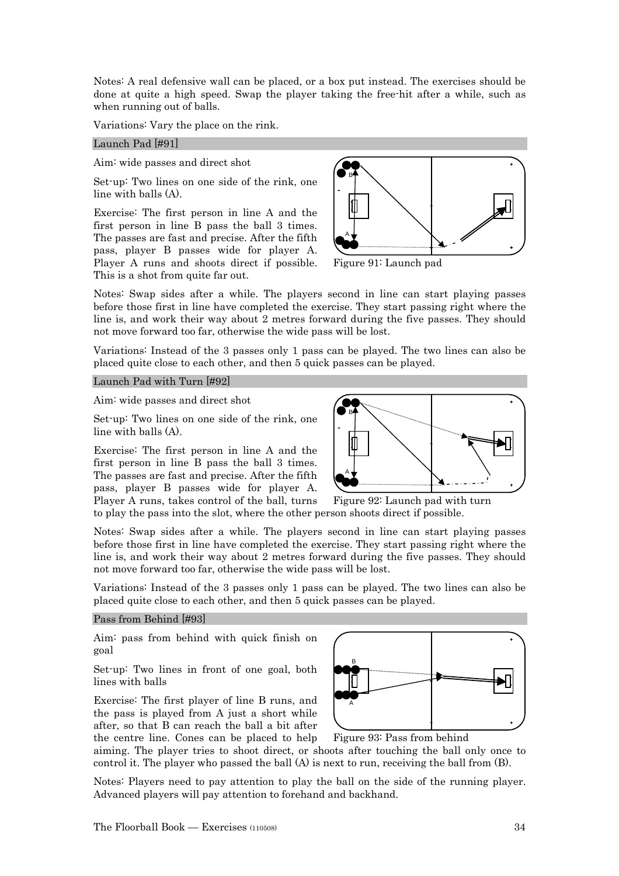Notes: A real defensive wall can be placed, or a box put instead. The exercises should be done at quite a high speed. Swap the player taking the free-hit after a while, such as when running out of balls.

Variations: Vary the place on the rink.

#### Launch Pad [#91]

Aim: wide passes and direct shot

Set-up: Two lines on one side of the rink, one line with balls (A).

Exercise: The first person in line A and the first person in line B pass the ball 3 times. The passes are fast and precise. After the fifth pass, player B passes wide for player A. Player A runs and shoots direct if possible. This is a shot from quite far out.



Figure 91: Launch pad

Notes: Swap sides after a while. The players second in line can start playing passes before those first in line have completed the exercise. They start passing right where the line is, and work their way about 2 metres forward during the five passes. They should not move forward too far, otherwise the wide pass will be lost.

Variations: Instead of the 3 passes only 1 pass can be played. The two lines can also be placed quite close to each other, and then 5 quick passes can be played.

Launch Pad with Turn [#92]

Aim: wide passes and direct shot

Set-up: Two lines on one side of the rink, one line with balls (A).

Exercise: The first person in line A and the first person in line B pass the ball 3 times. The passes are fast and precise. After the fifth pass, player B passes wide for player A. Player A runs, takes control of the ball, turns



to play the pass into the slot, where the other person shoots direct if possible. Figure 92: Launch pad with turn

Notes: Swap sides after a while. The players second in line can start playing passes before those first in line have completed the exercise. They start passing right where the line is, and work their way about 2 metres forward during the five passes. They should not move forward too far, otherwise the wide pass will be lost.

Variations: Instead of the 3 passes only 1 pass can be played. The two lines can also be placed quite close to each other, and then 5 quick passes can be played.

#### Pass from Behind [#93]

Aim: pass from behind with quick finish on goal

Set-up: Two lines in front of one goal, both lines with balls

Exercise: The first player of line B runs, and the pass is played from A just a short while after, so that B can reach the ball a bit after the centre line. Cones can be placed to help



Figure 93: Pass from behind

aiming. The player tries to shoot direct, or shoots after touching the ball only once to control it. The player who passed the ball (A) is next to run, receiving the ball from (B).

Notes: Players need to pay attention to play the ball on the side of the running player. Advanced players will pay attention to forehand and backhand.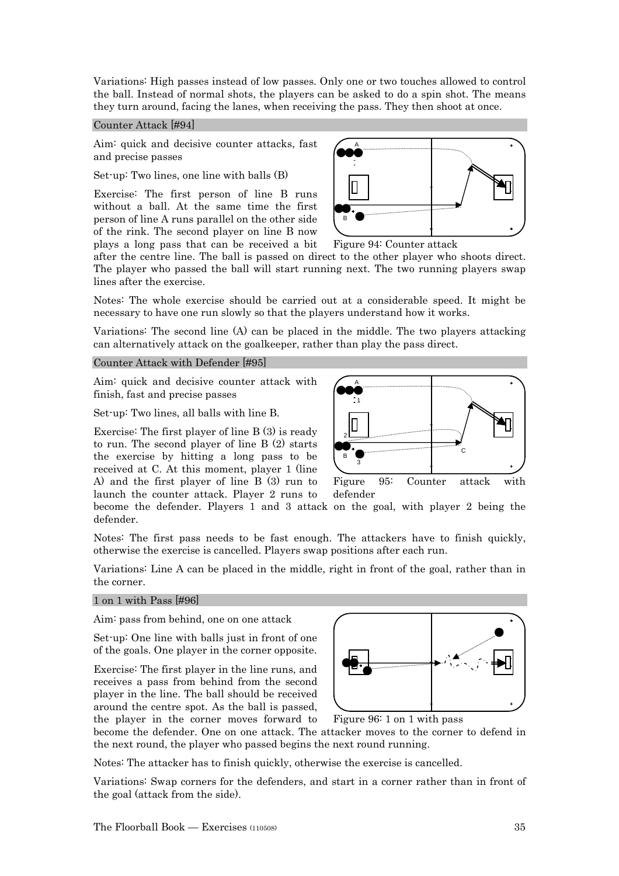Variations: High passes instead of low passes. Only one or two touches allowed to control the ball. Instead of normal shots, the players can be asked to do a spin shot. The means they turn around, facing the lanes, when receiving the pass. They then shoot at once.

#### Counter Attack [#94]

Aim: quick and decisive counter attacks, fast and precise passes

Set-up: Two lines, one line with balls (B)

Exercise: The first person of line B runs without a ball. At the same time the first person of line A runs parallel on the other side of the rink. The second player on line B now plays a long pass that can be received a bit





after the centre line. The ball is passed on direct to the other player who shoots direct. The player who passed the ball will start running next. The two running players swap lines after the exercise.

Notes: The whole exercise should be carried out at a considerable speed. It might be necessary to have one run slowly so that the players understand how it works.

Variations: The second line (A) can be placed in the middle. The two players attacking can alternatively attack on the goalkeeper, rather than play the pass direct.

#### Counter Attack with Defender [#95]

Aim: quick and decisive counter attack with finish, fast and precise passes

Set-up: Two lines, all balls with line B.

Exercise: The first player of line B (3) is ready to run. The second player of line B (2) starts the exercise by hitting a long pass to be received at C. At this moment, player 1 (line A) and the first player of line B (3) run to launch the counter attack. Player 2 runs to



become the defender. Players 1 and 3 attack on the goal, with player 2 being the defender.

Notes: The first pass needs to be fast enough. The attackers have to finish quickly, otherwise the exercise is cancelled. Players swap positions after each run.

Variations: Line A can be placed in the middle, right in front of the goal, rather than in the corner.

#### 1 on 1 with Pass [#96]

Aim: pass from behind, one on one attack

Set-up: One line with balls just in front of one of the goals. One player in the corner opposite.

Exercise: The first player in the line runs, and receives a pass from behind from the second player in the line. The ball should be received around the centre spot. As the ball is passed, the player in the corner moves forward to



Figure 96: 1 on 1 with pass

become the defender. One on one attack. The attacker moves to the corner to defend in the next round, the player who passed begins the next round running.

Notes: The attacker has to finish quickly, otherwise the exercise is cancelled.

Variations: Swap corners for the defenders, and start in a corner rather than in front of the goal (attack from the side).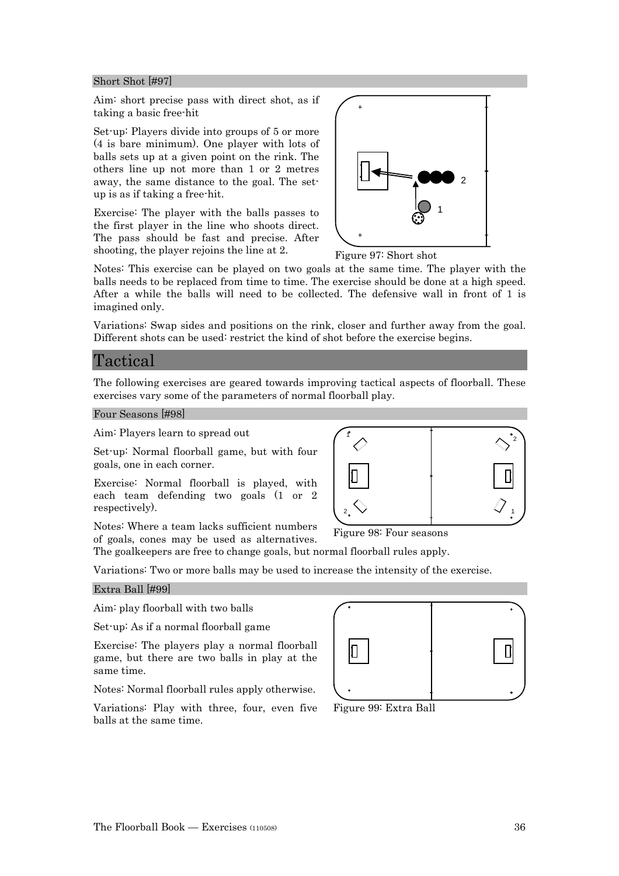#### Short Shot [#97]

Aim: short precise pass with direct shot, as if taking a basic free-hit

Set-up: Players divide into groups of 5 or more (4 is bare minimum). One player with lots of balls sets up at a given point on the rink. The others line up not more than 1 or 2 metres away, the same distance to the goal. The setup is as if taking a free-hit.

Exercise: The player with the balls passes to the first player in the line who shoots direct. The pass should be fast and precise. After shooting, the player rejoins the line at 2.



Figure 97: Short shot

Notes: This exercise can be played on two goals at the same time. The player with the balls needs to be replaced from time to time. The exercise should be done at a high speed. After a while the balls will need to be collected. The defensive wall in front of 1 is imagined only.

Variations: Swap sides and positions on the rink, closer and further away from the goal. Different shots can be used: restrict the kind of shot before the exercise begins.

## Tactical

The following exercises are geared towards improving tactical aspects of floorball. These exercises vary some of the parameters of normal floorball play.

1

Four Seasons [#98]

Aim: Players learn to spread out

Set-up: Normal floorball game, but with four goals, one in each corner.

Exercise: Normal floorball is played, with each team defending two goals (1 or 2 respectively).

Notes: Where a team lacks sufficient numbers of goals, cones may be used as alternatives.

The goalkeepers are free to change goals, but normal floorball rules apply.

Variations: Two or more balls may be used to increase the intensity of the exercise.

#### Extra Ball [#99]

Aim: play floorball with two balls

Set-up: As if a normal floorball game

Exercise: The players play a normal floorball game, but there are two balls in play at the same time.

Notes: Normal floorball rules apply otherwise.

Variations: Play with three, four, even five balls at the same time.



Figure 99: Extra Ball



1

2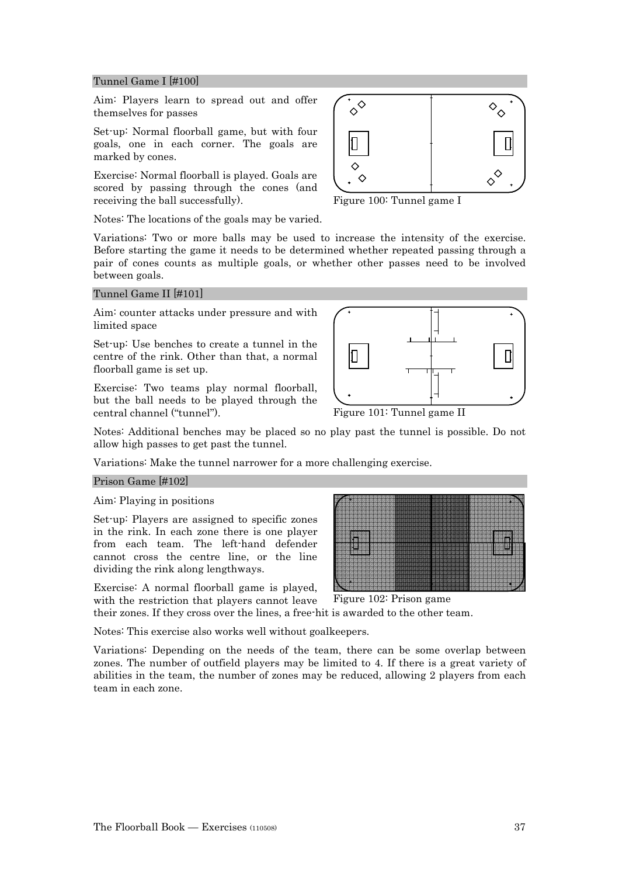#### Tunnel Game I [#100]

Aim: Players learn to spread out and offer themselves for passes

Set-up: Normal floorball game, but with four goals, one in each corner. The goals are marked by cones.

Exercise: Normal floorball is played. Goals are scored by passing through the cones (and receiving the ball successfully).

Notes: The locations of the goals may be varied.

Variations: Two or more balls may be used to increase the intensity of the exercise. Before starting the game it needs to be determined whether repeated passing through a pair of cones counts as multiple goals, or whether other passes need to be involved between goals.

#### Tunnel Game II [#101]

Aim: counter attacks under pressure and with limited space

Set-up: Use benches to create a tunnel in the centre of the rink. Other than that, a normal floorball game is set up.

Exercise: Two teams play normal floorball, but the ball needs to be played through the central channel ("tunnel").

Notes: Additional benches may be placed so no play past the tunnel is possible. Do not allow high passes to get past the tunnel.

Variations: Make the tunnel narrower for a more challenging exercise.

#### Prison Game [#102]

Aim: Playing in positions

Set-up: Players are assigned to specific zones in the rink. In each zone there is one player from each team. The left-hand defender cannot cross the centre line, or the line dividing the rink along lengthways.

Exercise: A normal floorball game is played, with the restriction that players cannot leave

their zones. If they cross over the lines, a free-hit is awarded to the other team.

Notes: This exercise also works well without goalkeepers.

Variations: Depending on the needs of the team, there can be some overlap between zones. The number of outfield players may be limited to 4. If there is a great variety of abilities in the team, the number of zones may be reduced, allowing 2 players from each team in each zone.



Figure 100: Tunnel game I

Figure 101: Tunnel game II

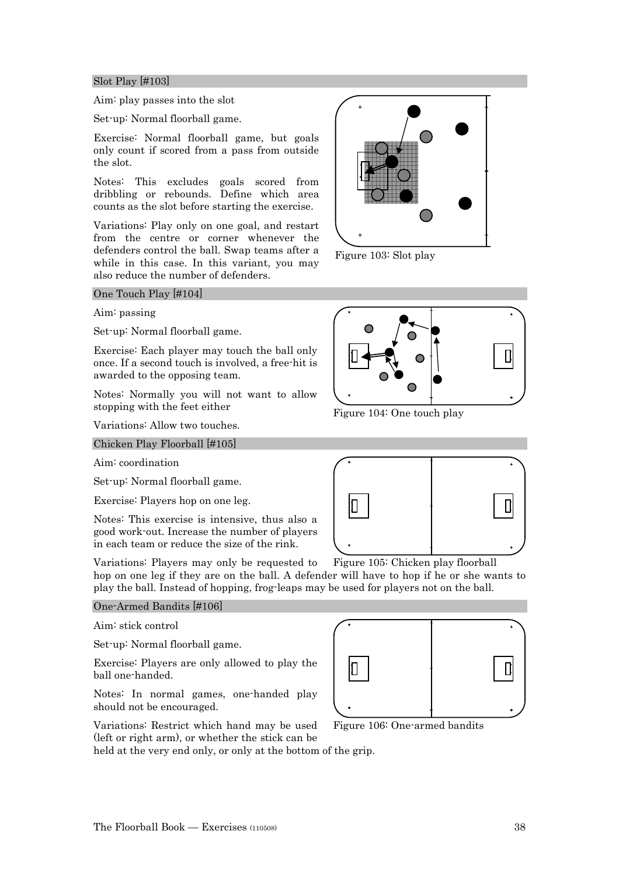#### Slot Play [#103]

Aim: play passes into the slot

Set-up: Normal floorball game.

Exercise: Normal floorball game, but goals only count if scored from a pass from outside the slot.

Notes: This excludes goals scored from dribbling or rebounds. Define which area counts as the slot before starting the exercise.

Variations: Play only on one goal, and restart from the centre or corner whenever the defenders control the ball. Swap teams after a while in this case. In this variant, you may also reduce the number of defenders.

#### One Touch Play [#104]

Aim: passing

Set-up: Normal floorball game.

Exercise: Each player may touch the ball only once. If a second touch is involved, a free-hit is awarded to the opposing team.

Notes: Normally you will not want to allow stopping with the feet either

Variations: Allow two touches.

Chicken Play Floorball [#105]

Aim: coordination

Set-up: Normal floorball game.

Exercise: Players hop on one leg.

Notes: This exercise is intensive, thus also a good work-out. Increase the number of players in each team or reduce the size of the rink.

Variations: Players may only be requested to hop on one leg if they are on the ball. A defender will have to hop if he or she wants to play the ball. Instead of hopping, frog-leaps may be used for players not on the ball. Figure 105: Chicken play floorball

#### One-Armed Bandits [#106]

Aim: stick control

Set-up: Normal floorball game.

Exercise: Players are only allowed to play the ball one-handed.

Notes: In normal games, one-handed play should not be encouraged.

Variations: Restrict which hand may be used (left or right arm), or whether the stick can be

held at the very end only, or only at the bottom of the grip.

Figure 103: Slot play



Figure 104: One touch play





![](_page_37_Picture_32.jpeg)

Figure 106: One-armed bandits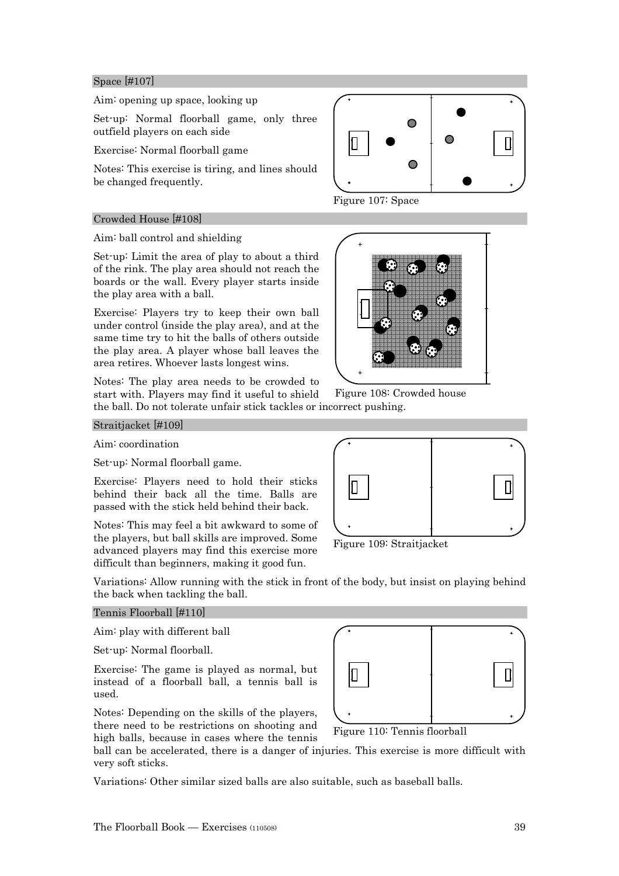#### Space [#107]

Aim: opening up space, looking up

Set-up: Normal floorball game, only three outfield players on each side

Exercise: Normal floorball game

Notes: This exercise is tiring, and lines should be changed frequently.

#### Crowded House [#108]

Aim: ball control and shielding

Set-up: Limit the area of play to about a third of the rink. The play area should not reach the boards or the wall. Every player starts inside the play area with a ball.

Exercise: Players try to keep their own ball under control (inside the play area), and at the same time try to hit the balls of others outside the play area. A player whose ball leaves the area retires. Whoever lasts longest wins.

Notes: The play area needs to be crowded to start with. Players may find it useful to shield the ball. Do not tolerate unfair stick tackles or incorrect pushing.

![](_page_38_Figure_10.jpeg)

Figure 107: Space

![](_page_38_Picture_12.jpeg)

Figure 108: Crowded house

Straitjacket [#109]

Aim: coordination

Set-up: Normal floorball game.

Exercise: Players need to hold their sticks behind their back all the time. Balls are passed with the stick held behind their back.

Notes: This may feel a bit awkward to some of the players, but ball skills are improved. Some advanced players may find this exercise more difficult than beginners, making it good fun.

Variations: Allow running with the stick in front of the body, but insist on playing behind the back when tackling the ball.

#### Tennis Floorball [#110]

Aim: play with different ball

Set-up: Normal floorball.

Exercise: The game is played as normal, but instead of a floorball ball, a tennis ball is used.

Notes: Depending on the skills of the players, there need to be restrictions on shooting and high balls, because in cases where the tennis

ball can be accelerated, there is a danger of injuries. This exercise is more difficult with very soft sticks.

Variations: Other similar sized balls are also suitable, such as baseball balls.

![](_page_38_Figure_27.jpeg)

Figure 109: Straitjacket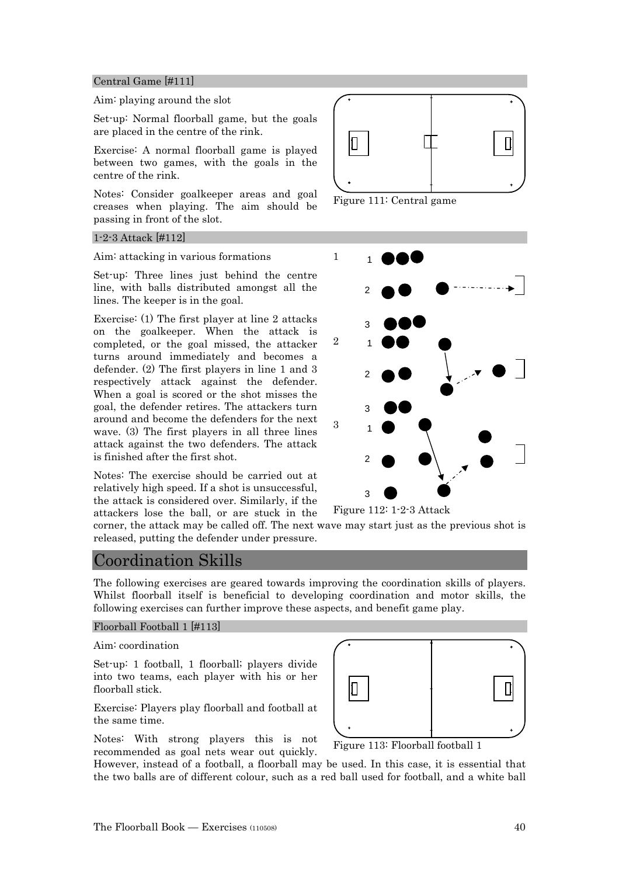#### Central Game [#111]

#### Aim: playing around the slot

Set-up: Normal floorball game, but the goals are placed in the centre of the rink.

Exercise: A normal floorball game is played between two games, with the goals in the centre of the rink.

Notes: Consider goalkeeper areas and goal creases when playing. The aim should be passing in front of the slot.

#### 1-2-3 Attack [#112]

Aim: attacking in various formations

Set-up: Three lines just behind the centre line, with balls distributed amongst all the lines. The keeper is in the goal.

Exercise: (1) The first player at line 2 attacks on the goalkeeper. When the attack is completed, or the goal missed, the attacker turns around immediately and becomes a defender. (2) The first players in line 1 and 3 respectively attack against the defender. When a goal is scored or the shot misses the goal, the defender retires. The attackers turn around and become the defenders for the next wave. (3) The first players in all three lines attack against the two defenders. The attack is finished after the first shot.

Notes: The exercise should be carried out at relatively high speed. If a shot is unsuccessful, the attack is considered over. Similarly, if the attackers lose the ball, or are stuck in the

![](_page_39_Figure_10.jpeg)

Figure 111: Central game

![](_page_39_Figure_12.jpeg)

Figure 112: 1-2-3 Attack

corner, the attack may be called off. The next wave may start just as the previous shot is released, putting the defender under pressure.

## Coordination Skills

The following exercises are geared towards improving the coordination skills of players. Whilst floorball itself is beneficial to developing coordination and motor skills, the following exercises can further improve these aspects, and benefit game play.

#### Floorball Football 1 [#113]

Aim: coordination

Set-up: 1 football, 1 floorball; players divide into two teams, each player with his or her floorball stick.

Exercise: Players play floorball and football at the same time.

Notes: With strong players this is not recommended as goal nets wear out quickly.

Figure 113: Floorball football 1

However, instead of a football, a floorball may be used. In this case, it is essential that the two balls are of different colour, such as a red ball used for football, and a white ball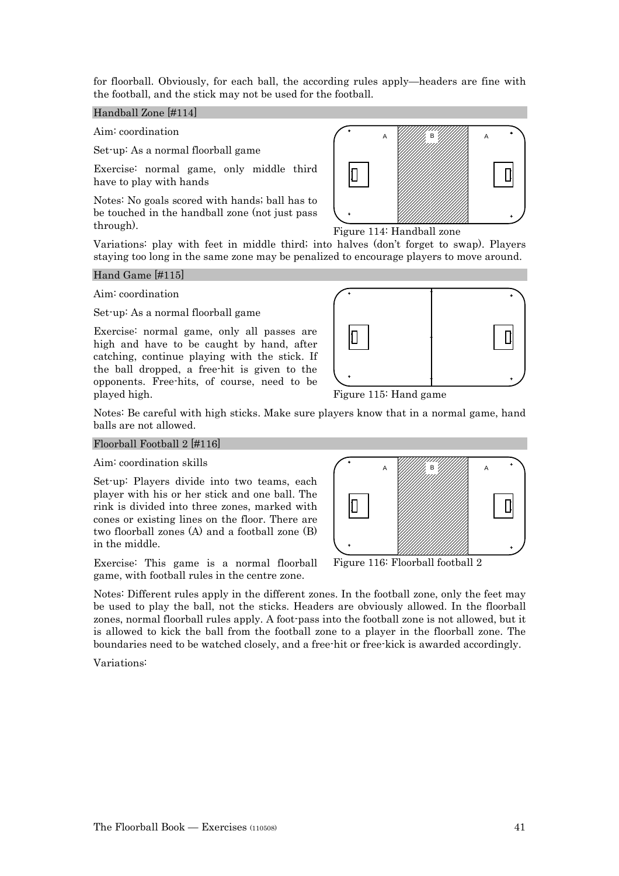for floorball. Obviously, for each ball, the according rules apply—headers are fine with the football, and the stick may not be used for the football.

#### Handball Zone [#114]

Aim: coordination

Set-up: As a normal floorball game

Exercise: normal game, only middle third have to play with hands

Notes: No goals scored with hands; ball has to be touched in the handball zone (not just pass through).

А *УНИИ,* В*'ИНИИ*, А

Figure 114: Handball zone

Variations: play with feet in middle third; into halves (don't forget to swap). Players staying too long in the same zone may be penalized to encourage players to move around.

#### Hand Game [#115]

Aim: coordination

Set-up: As a normal floorball game

Exercise: normal game, only all passes are high and have to be caught by hand, after catching, continue playing with the stick. If the ball dropped, a free-hit is given to the opponents. Free-hits, of course, need to be played high.

![](_page_40_Figure_13.jpeg)

Figure 115: Hand game

Notes: Be careful with high sticks. Make sure players know that in a normal game, hand balls are not allowed.

#### Floorball Football 2 [#116]

Aim: coordination skills

Set-up: Players divide into two teams, each player with his or her stick and one ball. The rink is divided into three zones, marked with cones or existing lines on the floor. There are two floorball zones (A) and a football zone (B) in the middle.

Exercise: This game is a normal floorball game, with football rules in the centre zone.

Notes: Different rules apply in the different zones. In the football zone, only the feet may be used to play the ball, not the sticks. Headers are obviously allowed. In the floorball zones, normal floorball rules apply. A foot-pass into the football zone is not allowed, but it is allowed to kick the ball from the football zone to a player in the floorball zone. The boundaries need to be watched closely, and a free-hit or free-kick is awarded accordingly.

Variations:

![](_page_40_Figure_22.jpeg)

Figure 116: Floorball football 2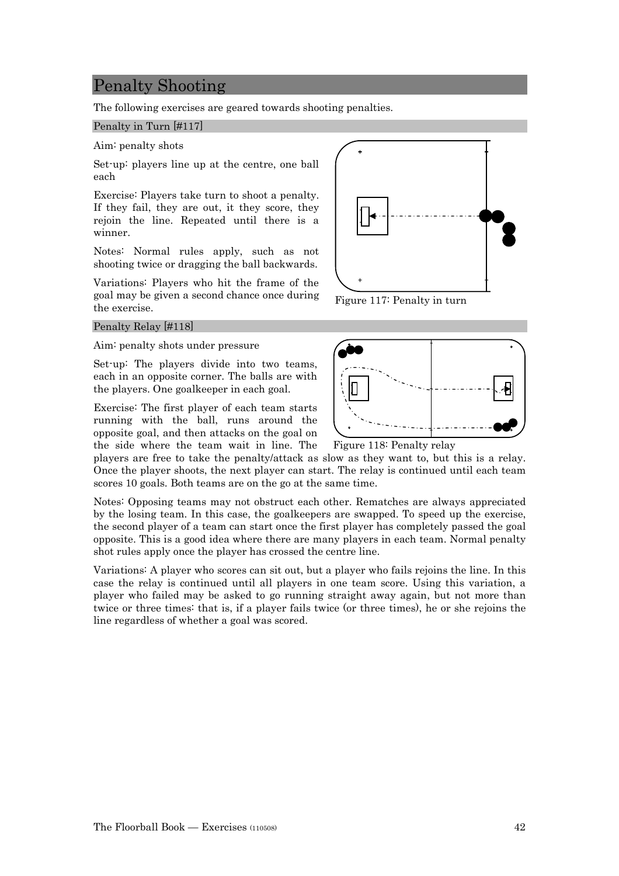## Penalty Shooting

The following exercises are geared towards shooting penalties.

#### Penalty in Turn [#117]

Aim: penalty shots

Set-up: players line up at the centre, one ball each

Exercise: Players take turn to shoot a penalty. If they fail, they are out, it they score, they rejoin the line. Repeated until there is a winner.

Notes: Normal rules apply, such as not shooting twice or dragging the ball backwards.

Variations: Players who hit the frame of the goal may be given a second chance once during the exercise.

#### Penalty Relay [#118]

Aim: penalty shots under pressure

Set-up: The players divide into two teams, each in an opposite corner. The balls are with the players. One goalkeeper in each goal.

Exercise: The first player of each team starts running with the ball, runs around the opposite goal, and then attacks on the goal on the side where the team wait in line. The

players are free to take the penalty/attack as slow as they want to, but this is a relay. Once the player shoots, the next player can start. The relay is continued until each team scores 10 goals. Both teams are on the go at the same time.

Notes: Opposing teams may not obstruct each other. Rematches are always appreciated by the losing team. In this case, the goalkeepers are swapped. To speed up the exercise, the second player of a team can start once the first player has completely passed the goal opposite. This is a good idea where there are many players in each team. Normal penalty shot rules apply once the player has crossed the centre line.

Variations: A player who scores can sit out, but a player who fails rejoins the line. In this case the relay is continued until all players in one team score. Using this variation, a player who failed may be asked to go running straight away again, but not more than twice or three times: that is, if a player fails twice (or three times), he or she rejoins the line regardless of whether a goal was scored.

![](_page_41_Figure_15.jpeg)

Figure 117: Penalty in turn

![](_page_41_Figure_17.jpeg)

Figure 118: Penalty relay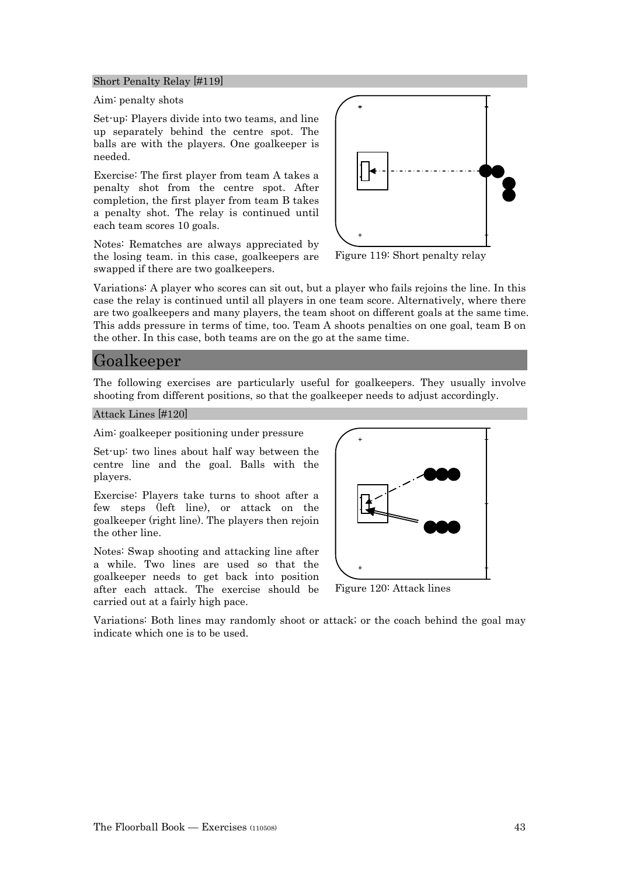#### Short Penalty Relay [#119]

Aim: penalty shots

Set-up: Players divide into two teams, and line up separately behind the centre spot. The balls are with the players. One goalkeeper is needed.

Exercise: The first player from team A takes a penalty shot from the centre spot. After completion, the first player from team B takes a penalty shot. The relay is continued until each team scores 10 goals.

Notes: Rematches are always appreciated by the losing team. in this case, goalkeepers are swapped if there are two goalkeepers.

![](_page_42_Figure_5.jpeg)

Figure 119: Short penalty relay

Variations: A player who scores can sit out, but a player who fails rejoins the line. In this case the relay is continued until all players in one team score. Alternatively, where there are two goalkeepers and many players, the team shoot on different goals at the same time. This adds pressure in terms of time, too. Team A shoots penalties on one goal, team B on the other. In this case, both teams are on the go at the same time.

## Goalkeeper

The following exercises are particularly useful for goalkeepers. They usually involve shooting from different positions, so that the goalkeeper needs to adjust accordingly.

Attack Lines [#120]

Aim: goalkeeper positioning under pressure

Set-up: two lines about half way between the centre line and the goal. Balls with the players.

Exercise: Players take turns to shoot after a few steps (left line), or attack on the goalkeeper (right line). The players then rejoin the other line.

Notes: Swap shooting and attacking line after a while. Two lines are used so that the goalkeeper needs to get back into position after each attack. The exercise should be carried out at a fairly high pace.

![](_page_42_Figure_15.jpeg)

Figure 120: Attack lines

Variations: Both lines may randomly shoot or attack; or the coach behind the goal may indicate which one is to be used.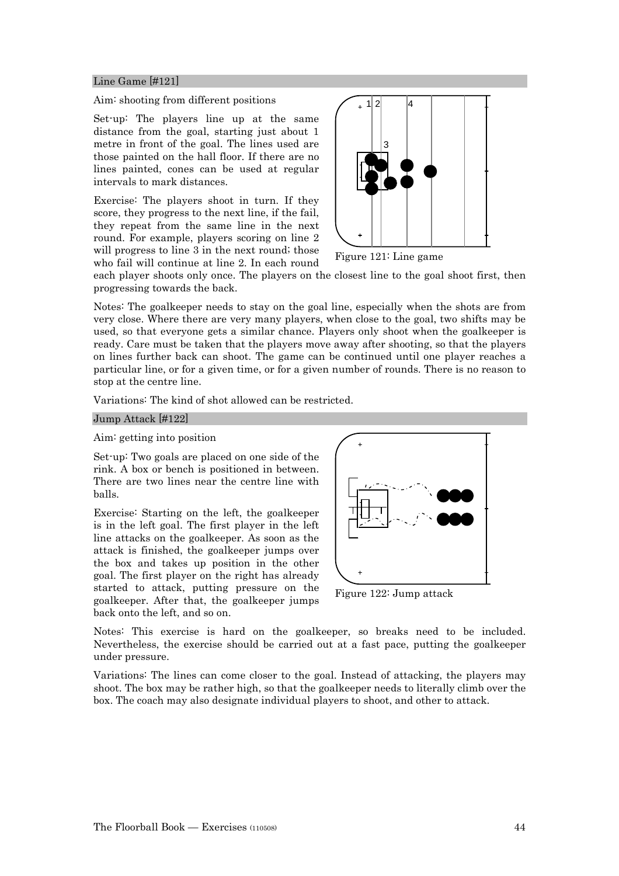#### Line Game [#121]

#### Aim: shooting from different positions

Set-up: The players line up at the same distance from the goal, starting just about 1 metre in front of the goal. The lines used are those painted on the hall floor. If there are no lines painted, cones can be used at regular intervals to mark distances.

Exercise: The players shoot in turn. If they score, they progress to the next line, if the fail, they repeat from the same line in the next round. For example, players scoring on line 2 will progress to line 3 in the next round; those who fail will continue at line 2. In each round

![](_page_43_Picture_4.jpeg)

Figure 121: Line game

each player shoots only once. The players on the closest line to the goal shoot first, then progressing towards the back.

Notes: The goalkeeper needs to stay on the goal line, especially when the shots are from very close. Where there are very many players, when close to the goal, two shifts may be used, so that everyone gets a similar chance. Players only shoot when the goalkeeper is ready. Care must be taken that the players move away after shooting, so that the players on lines further back can shoot. The game can be continued until one player reaches a particular line, or for a given time, or for a given number of rounds. There is no reason to stop at the centre line.

Variations: The kind of shot allowed can be restricted.

#### Jump Attack [#122]

#### Aim: getting into position

Set-up: Two goals are placed on one side of the rink. A box or bench is positioned in between. There are two lines near the centre line with balls.

Exercise: Starting on the left, the goalkeeper is in the left goal. The first player in the left line attacks on the goalkeeper. As soon as the attack is finished, the goalkeeper jumps over the box and takes up position in the other goal. The first player on the right has already started to attack, putting pressure on the goalkeeper. After that, the goalkeeper jumps back onto the left, and so on.

![](_page_43_Figure_13.jpeg)

Figure 122: Jump attack

Notes: This exercise is hard on the goalkeeper, so breaks need to be included. Nevertheless, the exercise should be carried out at a fast pace, putting the goalkeeper under pressure.

Variations: The lines can come closer to the goal. Instead of attacking, the players may shoot. The box may be rather high, so that the goalkeeper needs to literally climb over the box. The coach may also designate individual players to shoot, and other to attack.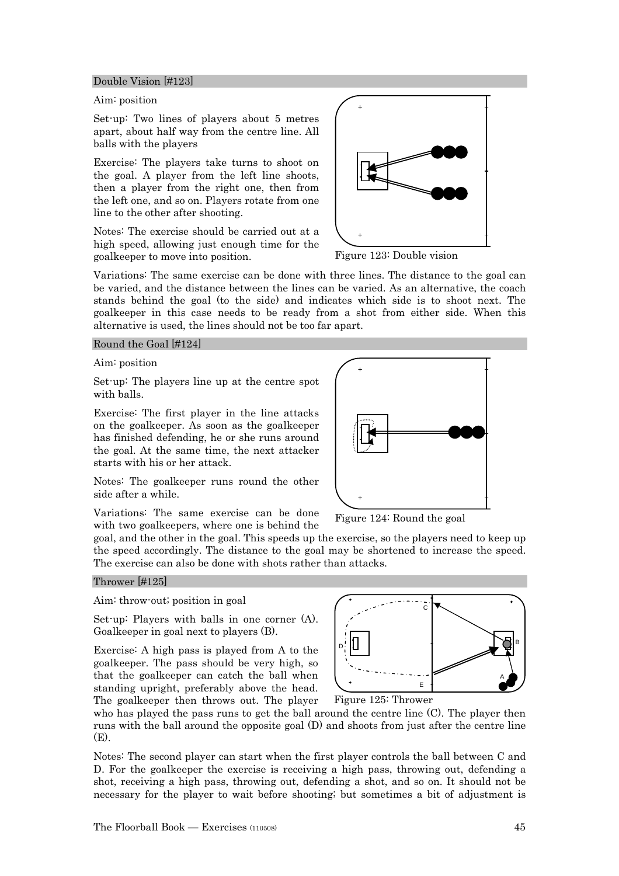#### Double Vision [#123]

#### Aim: position

Set-up: Two lines of players about 5 metres apart, about half way from the centre line. All balls with the players

Exercise: The players take turns to shoot on the goal. A player from the left line shoots, then a player from the right one, then from the left one, and so on. Players rotate from one line to the other after shooting.

Notes: The exercise should be carried out at a high speed, allowing just enough time for the goalkeeper to move into position.

![](_page_44_Picture_5.jpeg)

Figure 123: Double vision

Variations: The same exercise can be done with three lines. The distance to the goal can be varied, and the distance between the lines can be varied. As an alternative, the coach stands behind the goal (to the side) and indicates which side is to shoot next. The goalkeeper in this case needs to be ready from a shot from either side. When this alternative is used, the lines should not be too far apart.

#### Round the Goal [#124]

Aim: position

Set-up: The players line up at the centre spot with balls.

Exercise: The first player in the line attacks on the goalkeeper. As soon as the goalkeeper has finished defending, he or she runs around the goal. At the same time, the next attacker starts with his or her attack.

Notes: The goalkeeper runs round the other side after a while.

Variations: The same exercise can be done with two goalkeepers, where one is behind the

goal, and the other in the goal. This speeds up the exercise, so the players need to keep up the speed accordingly. The distance to the goal may be shortened to increase the speed. The exercise can also be done with shots rather than attacks.

#### Thrower [#125]

Aim: throw-out; position in goal

Set-up: Players with balls in one corner (A). Goalkeeper in goal next to players (B).

Exercise: A high pass is played from A to the goalkeeper. The pass should be very high, so that the goalkeeper can catch the ball when standing upright, preferably above the head. The goalkeeper then throws out. The player

![](_page_44_Figure_19.jpeg)

D

Notes: The second player can start when the first player controls the ball between C and D. For the goalkeeper the exercise is receiving a high pass, throwing out, defending a shot, receiving a high pass, throwing out, defending a shot, and so on. It should not be necessary for the player to wait before shooting; but sometimes a bit of adjustment is

![](_page_44_Figure_21.jpeg)

Figure 124: Round the goal

 $\overline{c}$ 

E

A

B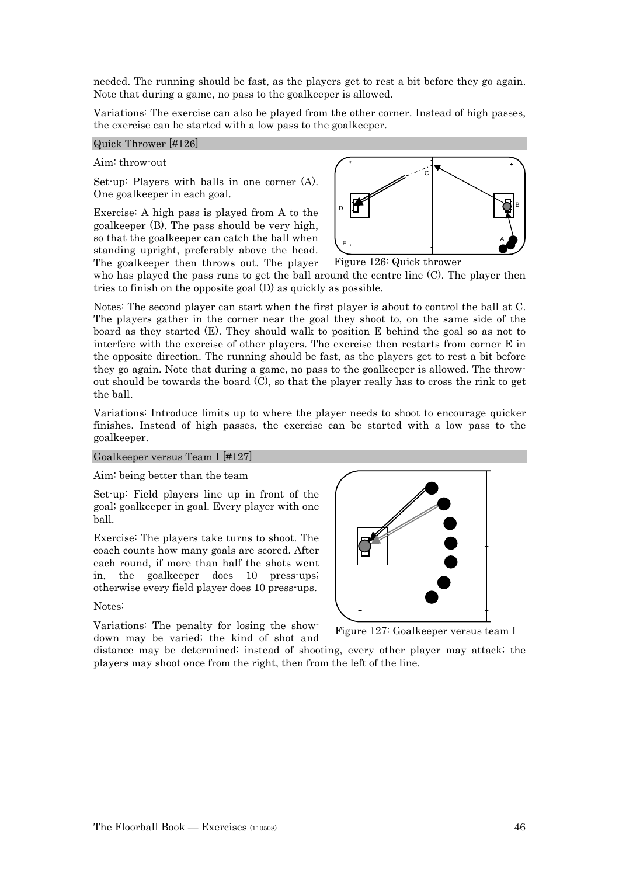needed. The running should be fast, as the players get to rest a bit before they go again. Note that during a game, no pass to the goalkeeper is allowed.

Variations: The exercise can also be played from the other corner. Instead of high passes, the exercise can be started with a low pass to the goalkeeper.

#### Quick Thrower [#126]

#### Aim: throw-out

Set-up: Players with balls in one corner (A). One goalkeeper in each goal.

Exercise: A high pass is played from A to the goalkeeper (B). The pass should be very high, so that the goalkeeper can catch the ball when standing upright, preferably above the head. The goalkeeper then throws out. The player

![](_page_45_Figure_6.jpeg)

Figure 126: Quick thrower

who has played the pass runs to get the ball around the centre line (C). The player then tries to finish on the opposite goal (D) as quickly as possible.

Notes: The second player can start when the first player is about to control the ball at C. The players gather in the corner near the goal they shoot to, on the same side of the board as they started (E). They should walk to position E behind the goal so as not to interfere with the exercise of other players. The exercise then restarts from corner E in the opposite direction. The running should be fast, as the players get to rest a bit before they go again. Note that during a game, no pass to the goalkeeper is allowed. The throwout should be towards the board  $(C)$ , so that the player really has to cross the rink to get the ball.

Variations: Introduce limits up to where the player needs to shoot to encourage quicker finishes. Instead of high passes, the exercise can be started with a low pass to the goalkeeper.

#### Goalkeeper versus Team I [#127]

Aim: being better than the team

Set-up: Field players line up in front of the goal; goalkeeper in goal. Every player with one ball.

Exercise: The players take turns to shoot. The coach counts how many goals are scored. After each round, if more than half the shots went in, the goalkeeper does 10 press-ups; otherwise every field player does 10 press-ups.

#### Notes:

Variations: The penalty for losing the showdown may be varied; the kind of shot and

![](_page_45_Picture_17.jpeg)

Figure 127: Goalkeeper versus team I

distance may be determined; instead of shooting, every other player may attack; the players may shoot once from the right, then from the left of the line.